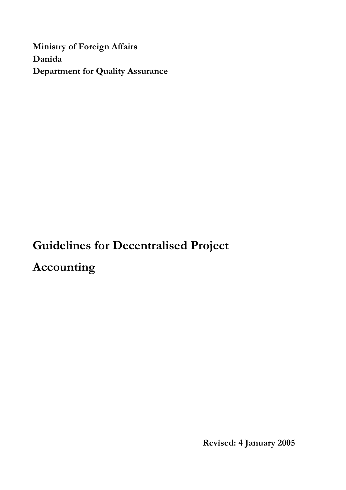**Ministry of Foreign Affairs Danida Department for Quality Assurance**

**Guidelines for Decentralised Project Accounting**

**Revised: 4 January 2005**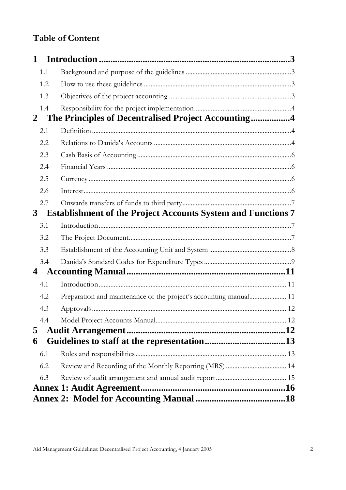# **Table of Content**

| 1   |                                                                     |  |
|-----|---------------------------------------------------------------------|--|
| 1.1 |                                                                     |  |
| 1.2 |                                                                     |  |
| 1.3 |                                                                     |  |
| 1.4 |                                                                     |  |
| 2   | The Principles of Decentralised Project Accounting4                 |  |
| 2.1 |                                                                     |  |
| 2.2 |                                                                     |  |
| 2.3 |                                                                     |  |
| 2.4 |                                                                     |  |
| 2.5 |                                                                     |  |
| 2.6 |                                                                     |  |
| 2.7 |                                                                     |  |
| 3   | <b>Establishment of the Project Accounts System and Functions 7</b> |  |
| 3.1 |                                                                     |  |
| 3.2 |                                                                     |  |
| 3.3 |                                                                     |  |
| 3.4 |                                                                     |  |
| 4   |                                                                     |  |
| 4.1 |                                                                     |  |
| 4.2 | Preparation and maintenance of the project's accounting manual 11   |  |
| 4.3 |                                                                     |  |
| 4.4 |                                                                     |  |
| 5   |                                                                     |  |
| 6   |                                                                     |  |
| 6.1 |                                                                     |  |
| 6.2 |                                                                     |  |
| 6.3 |                                                                     |  |
|     |                                                                     |  |
|     |                                                                     |  |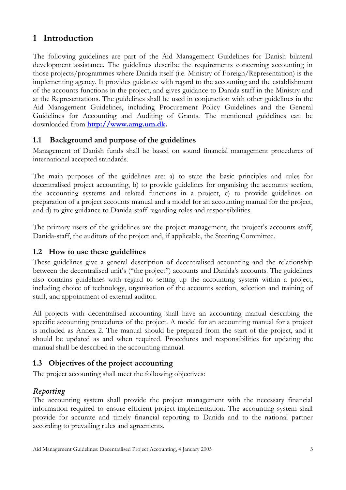# <span id="page-2-0"></span>**1 Introduction**

The following guidelines are part of the Aid Management Guidelines for Danish bilateral development assistance. The guidelines describe the requirements concerning accounting in those projects/programmes where Danida itself (i.e. Ministry of Foreign/Representation) is the implementing agency. It provides guidance with regard to the accounting and the establishment of the accounts functions in the project, and gives guidance to Danida staff in the Ministry and at the Representations. The guidelines shall be used in conjunction with other guidelines in the Aid Management Guidelines, including Procurement Policy Guidelines and the General Guidelines for Accounting and Auditing of Grants. The mentioned guidelines can be downloaded from **[http://www.amg.um.dk.](http://www.amg.um.dk/)** 

# <span id="page-2-1"></span>**1.1 Background and purpose of the guidelines**

Management of Danish funds shall be based on sound financial management procedures of international accepted standards.

The main purposes of the guidelines are: a) to state the basic principles and rules for decentralised project accounting, b) to provide guidelines for organising the accounts section, the accounting systems and related functions in a project, c) to provide guidelines on preparation of a project accounts manual and a model for an accounting manual for the project, and d) to give guidance to Danida-staff regarding roles and responsibilities.

The primary users of the guidelines are the project management, the project's accounts staff, Danida-staff, the auditors of the project and, if applicable, the Steering Committee.

# <span id="page-2-2"></span>**1.2 How to use these guidelines**

These guidelines give a general description of decentralised accounting and the relationship between the decentralised unit's ("the project") accounts and Danida's accounts. The guidelines also contains guidelines with regard to setting up the accounting system within a project, including choice of technology, organisation of the accounts section, selection and training of staff, and appointment of external auditor.

All projects with decentralised accounting shall have an accounting manual describing the specific accounting procedures of the project. A model for an accounting manual for a project is included as Annex 2. The manual should be prepared from the start of the project, and it should be updated as and when required. Procedures and responsibilities for updating the manual shall be described in the accounting manual.

# <span id="page-2-3"></span>**1.3 Objectives of the project accounting**

The project accounting shall meet the following objectives:

# *Reporting*

The accounting system shall provide the project management with the necessary financial information required to ensure efficient project implementation. The accounting system shall provide for accurate and timely financial reporting to Danida and to the national partner according to prevailing rules and agreements.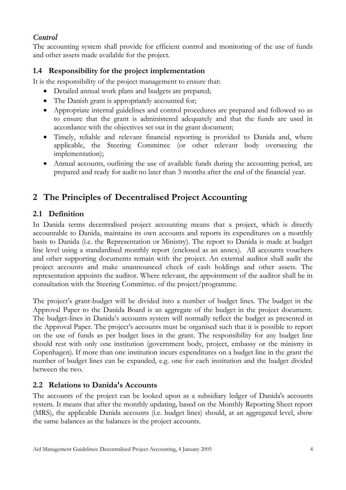# *Control*

The accounting system shall provide for efficient control and monitoring of the use of funds and other assets made available for the project.

# <span id="page-3-0"></span>**1.4 Responsibility for the project implementation**

It is the responsibility of the project management to ensure that:

- Detailed annual work plans and budgets are prepared;
- The Danish grant is appropriately accounted for;
- Appropriate internal guidelines and control procedures are prepared and followed so as to ensure that the grant is administered adequately and that the funds are used in accordance with the objectives set out in the grant document;
- Timely, reliable and relevant financial reporting is provided to Danida and, where applicable, the Steering Committee (or other relevant body overseeing the implementation);
- Annual accounts, outlining the use of available funds during the accounting period, are prepared and ready for audit no later than 3 months after the end of the financial year.

# <span id="page-3-1"></span>**2 The Principles of Decentralised Project Accounting**

# <span id="page-3-2"></span>**2.1 Definition**

In Danida terms decentralised project accounting means that a project, which is directly accountable to Danida, maintains its own accounts and reports its expenditures on a monthly basis to Danida (i.e. the Representation or Ministry). The report to Danida is made at budget line level using a standardised monthly report (enclosed as an annex). All accounts vouchers and other supporting documents remain with the project. An external auditor shall audit the project accounts and make unannounced check of cash holdings and other assets. The representation appoints the auditor. Where relevant, the appointment of the auditor shall be in consultation with the Steering Committee. of the project/programme.

The project's grant-budget will be divided into a number of budget lines. The budget in the Approval Paper to the Danida Board is an aggregate of the budget in the project document. The budget-lines in Danida's accounts system will normally reflect the budget as presented in the Approval Paper. The project's accounts must be organised such that it is possible to report on the use of funds as per budget lines in the grant. The responsibility for any budget line should rest with only one institution (government body, project, embassy or the ministry in Copenhagen). If more than one institution incurs expenditures on a budget line in the grant the number of budget lines can be expanded, e.g. one for each institution and the budget divided between the two.

# <span id="page-3-3"></span>**2.2 Relations to Danida's Accounts**

The accounts of the project can be looked upon as a subsidiary ledger of Danida's accounts system. It means that after the monthly updating, based on the Monthly Reporting Sheet report (MRS), the applicable Danida accounts (i.e. budget lines) should, at an aggregated level, show the same balances as the balances in the project accounts.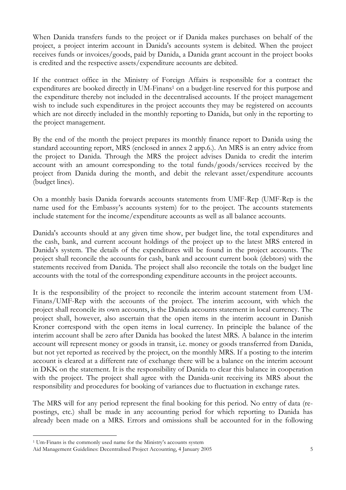When Danida transfers funds to the project or if Danida makes purchases on behalf of the project, a project interim account in Danida's accounts system is debited. When the project receives funds or invoices/goods, paid by Danida, a Danida grant account in the project books is credited and the respective assets/expenditure accounts are debited.

If the contract office in the Ministry of Foreign Affairs is responsible for a contract the expenditures are booked directly in UM-Finans<sup>1</sup> on a budget-line reserved for this purpose and the expenditure thereby not included in the decentralised accounts. If the project management wish to include such expenditures in the project accounts they may be registered on accounts which are not directly included in the monthly reporting to Danida, but only in the reporting to the project management.

By the end of the month the project prepares its monthly finance report to Danida using the standard accounting report, MRS (enclosed in annex 2 app.6.). An MRS is an entry advice from the project to Danida. Through the MRS the project advises Danida to credit the interim account with an amount corresponding to the total funds/goods/services received by the project from Danida during the month, and debit the relevant asset/expenditure accounts (budget lines).

On a monthly basis Danida forwards accounts statements from UMF-Rep (UMF-Rep is the name used for the Embassy's accounts system) for to the project. The accounts statements include statement for the income/expenditure accounts as well as all balance accounts.

Danida's accounts should at any given time show, per budget line, the total expenditures and the cash, bank, and current account holdings of the project up to the latest MRS entered in Danida's system. The details of the expenditures will be found in the project accounts. The project shall reconcile the accounts for cash, bank and account current book (debtors) with the statements received from Danida. The project shall also reconcile the totals on the budget line accounts with the total of the corresponding expenditure accounts in the project accounts.

It is the responsibility of the project to reconcile the interim account statement from UM-Finans/UMF-Rep with the accounts of the project. The interim account, with which the project shall reconcile its own accounts, is the Danida accounts statement in local currency. The project shall, however, also ascertain that the open items in the interim account in Danish Kroner correspond with the open items in local currency. In principle the balance of the interim account shall be zero after Danida has booked the latest MRS. A balance in the interim account will represent money or goods in transit, i.e. money or goods transferred from Danida, but not yet reported as received by the project, on the monthly MRS. If a posting to the interim account is cleared at a different rate of exchange there will be a balance on the interim account in DKK on the statement. It is the responsibility of Danida to clear this balance in cooperation with the project. The project shall agree with the Danida-unit receiving its MRS about the responsibility and procedures for booking of variances due to fluctuation in exchange rates.

The MRS will for any period represent the final booking for this period. No entry of data (repostings, etc.) shall be made in any accounting period for which reporting to Danida has already been made on a MRS. Errors and omissions shall be accounted for in the following

-

<sup>1</sup> Um-Finans is the commonly used name for the Ministry's accounts system

Aid Management Guidelines: Decentralised Project Accounting, 4 January 2005 5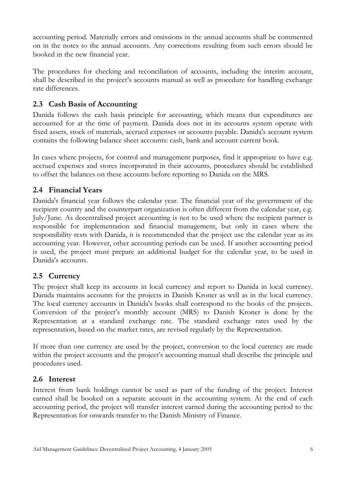accounting period. Materially errors and omissions in the annual accounts shall be commented on in the notes to the annual accounts. Any corrections resulting from such errors should be booked in the new financial year.

The procedures for checking and reconciliation of accounts, including the interim account, shall be described in the project's accounts manual as well as procedure for handling exchange rate differences.

# <span id="page-5-0"></span>**2.3 Cash Basis of Accounting**

Danida follows the cash basis principle for accounting, which means that expenditures are accounted for at the time of payment. Danida does not in its accounts system operate with fixed assets, stock of materials, accrued expenses or accounts payable. Danida's account system contains the following balance sheet accounts: cash, bank and account current book.

In cases where projects, for control and management purposes, find it appropriate to have e.g. accrued expenses and stores incorporated in their accounts, procedures should be established to offset the balances on these accounts before reporting to Danida on the MRS.

# <span id="page-5-1"></span>**2.4 Financial Years**

Danida's financial year follows the calendar year. The financial year of the government of the recipient country and the counterpart organization is often different from the calendar year, e.g. July/June. As decentralised project accounting is not to be used where the recipient partner is responsible for implementation and financial management, but only in cases where the responsibility rests with Danida, it is recommended that the project use the calendar year as its accounting year. However, other accounting periods can be used. If another accounting period is used, the project must prepare an additional budget for the calendar year, to be used in Danida's accounts.

# <span id="page-5-2"></span>**2.5 Currency**

The project shall keep its accounts in local currency and report to Danida in local currency. Danida maintains accounts for the projects in Danish Kroner as well as in the local currency. The local currency accounts in Danida's books shall correspond to the books of the projects. Conversion of the project's monthly account (MRS) to Danish Kroner is done by the Representation at a standard exchange rate. The standard exchange rates used by the representation, based on the market rates, are revised regularly by the Representation.

If more than one currency are used by the project, conversion to the local currency are made within the project accounts and the project's accounting manual shall describe the principle and procedures used.

# <span id="page-5-3"></span>**2.6 Interest**

Interest from bank holdings cannot be used as part of the funding of the project. Interest earned shall be booked on a separate account in the accounting system. At the end of each accounting period, the project will transfer interest earned during the accounting period to the Representation for onwards transfer to the Danish Ministry of Finance.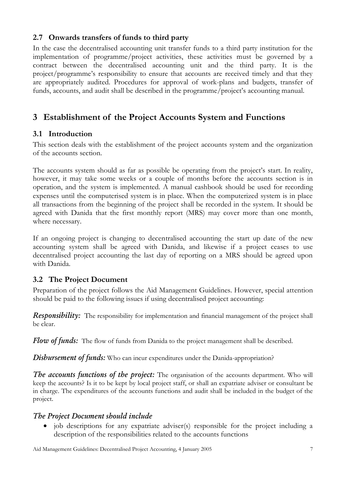# <span id="page-6-0"></span>**2.7 Onwards transfers of funds to third party**

In the case the decentralised accounting unit transfer funds to a third party institution for the implementation of programme/project activities, these activities must be governed by a contract between the decentralised accounting unit and the third party. It is the project/programme's responsibility to ensure that accounts are received timely and that they are appropriately audited. Procedures for approval of work-plans and budgets, transfer of funds, accounts, and audit shall be described in the programme/project's accounting manual.

# <span id="page-6-1"></span>**3 Establishment of the Project Accounts System and Functions**

#### <span id="page-6-2"></span>**3.1 Introduction**

This section deals with the establishment of the project accounts system and the organization of the accounts section.

The accounts system should as far as possible be operating from the project's start. In reality, however, it may take some weeks or a couple of months before the accounts section is in operation, and the system is implemented. A manual cashbook should be used for recording expenses until the computerised system is in place. When the computerized system is in place all transactions from the beginning of the project shall be recorded in the system. It should be agreed with Danida that the first monthly report (MRS) may cover more than one month, where necessary.

If an ongoing project is changing to decentralised accounting the start up date of the new accounting system shall be agreed with Danida, and likewise if a project ceases to use decentralised project accounting the last day of reporting on a MRS should be agreed upon with Danida.

# <span id="page-6-3"></span>**3.2 The Project Document**

Preparation of the project follows the Aid Management Guidelines. However, special attention should be paid to the following issues if using decentralised project accounting:

*Responsibility:* The responsibility for implementation and financial management of the project shall be clear.

*Flow of funds:* The flow of funds from Danida to the project management shall be described.

**Disbursement of funds:** Who can incur expenditures under the Danida-appropriation?

*The accounts functions of the project:* The organisation of the accounts department. Who will keep the accounts? Is it to be kept by local project staff, or shall an expatriate adviser or consultant be in charge. The expenditures of the accounts functions and audit shall be included in the budget of the project.

#### *The Project Document should include*

 job descriptions for any expatriate adviser(s) responsible for the project including a description of the responsibilities related to the accounts functions

Aid Management Guidelines: Decentralised Project Accounting, 4 January 2005 7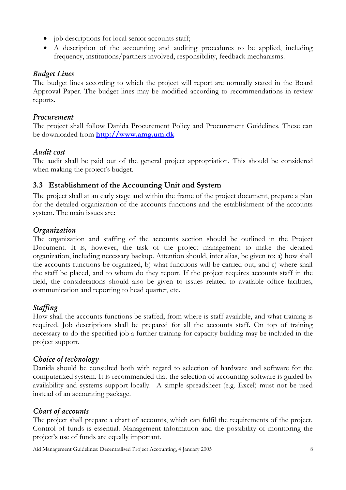- job descriptions for local senior accounts staff;
- A description of the accounting and auditing procedures to be applied, including frequency, institutions/partners involved, responsibility, feedback mechanisms.

# *Budget Lines*

The budget lines according to which the project will report are normally stated in the Board Approval Paper. The budget lines may be modified according to recommendations in review reports.

### *Procurement*

The project shall follow Danida Procurement Policy and Procurement Guidelines. These can be downloaded from **[http://www.amg.um.dk](http://www.amg.um.dk/)**

# *Audit cost*

The audit shall be paid out of the general project appropriation. This should be considered when making the project's budget.

# <span id="page-7-0"></span>**3.3 Establishment of the Accounting Unit and System**

The project shall at an early stage and within the frame of the project document, prepare a plan for the detailed organization of the accounts functions and the establishment of the accounts system. The main issues are:

# *Organization*

The organization and staffing of the accounts section should be outlined in the Project Document. It is, however, the task of the project management to make the detailed organization, including necessary backup. Attention should, inter alias, be given to: a) how shall the accounts functions be organized, b) what functions will be carried out, and c) where shall the staff be placed, and to whom do they report. If the project requires accounts staff in the field, the considerations should also be given to issues related to available office facilities, communication and reporting to head quarter, etc.

# *Staffing*

How shall the accounts functions be staffed, from where is staff available, and what training is required. Job descriptions shall be prepared for all the accounts staff. On top of training necessary to do the specified job a further training for capacity building may be included in the project support.

# *Choice of technology*

Danida should be consulted both with regard to selection of hardware and software for the computerized system. It is recommended that the selection of accounting software is guided by availability and systems support locally. A simple spreadsheet (e.g. Excel) must not be used instead of an accounting package.

# *Chart of accounts*

The project shall prepare a chart of accounts, which can fulfil the requirements of the project. Control of funds is essential. Management information and the possibility of monitoring the project's use of funds are equally important.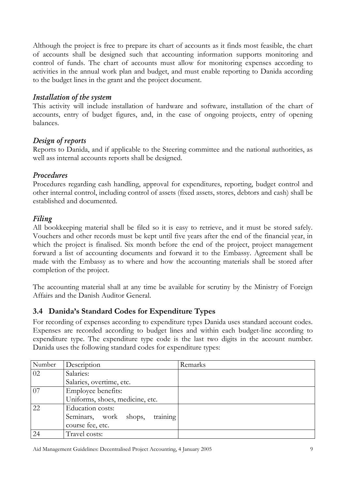Although the project is free to prepare its chart of accounts as it finds most feasible, the chart of accounts shall be designed such that accounting information supports monitoring and control of funds. The chart of accounts must allow for monitoring expenses according to activities in the annual work plan and budget, and must enable reporting to Danida according to the budget lines in the grant and the project document.

### *Installation of the system*

This activity will include installation of hardware and software, installation of the chart of accounts, entry of budget figures, and, in the case of ongoing projects, entry of opening balances.

# *Design of reports*

Reports to Danida, and if applicable to the Steering committee and the national authorities, as well ass internal accounts reports shall be designed.

### *Procedures*

Procedures regarding cash handling, approval for expenditures, reporting, budget control and other internal control, including control of assets (fixed assets, stores, debtors and cash) shall be established and documented.

### *Filing*

All bookkeeping material shall be filed so it is easy to retrieve, and it must be stored safely. Vouchers and other records must be kept until five years after the end of the financial year, in which the project is finalised. Six month before the end of the project, project management forward a list of accounting documents and forward it to the Embassy. Agreement shall be made with the Embassy as to where and how the accounting materials shall be stored after completion of the project.

The accounting material shall at any time be available for scrutiny by the Ministry of Foreign Affairs and the Danish Auditor General.

# <span id="page-8-0"></span>**3.4 Danida's Standard Codes for Expenditure Types**

For recording of expenses according to expenditure types Danida uses standard account codes. Expenses are recorded according to budget lines and within each budget-line according to expenditure type. The expenditure type code is the last two digits in the account number. Danida uses the following standard codes for expenditure types:

| Number | Description                       | Remarks |
|--------|-----------------------------------|---------|
| 02     | Salaries:                         |         |
|        | Salaries, overtime, etc.          |         |
| 07     | Employee benefits:                |         |
|        | Uniforms, shoes, medicine, etc.   |         |
| 22     | Education costs:                  |         |
|        | training<br>Seminars, work shops, |         |
|        | course fee, etc.                  |         |
| 24     | Travel costs:                     |         |

Aid Management Guidelines: Decentralised Project Accounting, 4 January 2005 9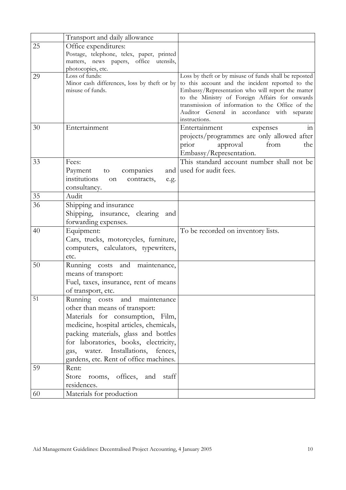|    | Transport and daily allowance               |                                                                                                    |
|----|---------------------------------------------|----------------------------------------------------------------------------------------------------|
| 25 | Office expenditures:                        |                                                                                                    |
|    | Postage, telephone, telex, paper, printed   |                                                                                                    |
|    | matters, news papers, office utensils,      |                                                                                                    |
|    | photocopies, etc.                           |                                                                                                    |
| 29 | Loss of funds:                              | Loss by theft or by misuse of funds shall be reposted                                              |
|    | Minor cash differences, loss by theft or by | to this account and the incident reported to the                                                   |
|    | misuse of funds.                            | Embassy/Representation who will report the matter                                                  |
|    |                                             | to the Ministry of Foreign Affairs for onwards<br>transmission of information to the Office of the |
|    |                                             | Auditor General in accordance with separate                                                        |
|    |                                             | instructions.                                                                                      |
| 30 | Entertainment                               | Entertainment<br>expenses<br>111                                                                   |
|    |                                             | projects/programmes are only allowed after                                                         |
|    |                                             | from<br>prior<br>approval<br>the                                                                   |
|    |                                             | Embassy/Representation.                                                                            |
| 33 | Fees:                                       | This standard account number shall not be                                                          |
|    | Payment<br>companies<br>to                  | and used for audit fees.                                                                           |
|    | institutions<br>contracts,<br>on<br>e.g.    |                                                                                                    |
|    | consultancy.                                |                                                                                                    |
| 35 | Audit                                       |                                                                                                    |
| 36 | Shipping and insurance                      |                                                                                                    |
|    | Shipping, insurance, clearing and           |                                                                                                    |
|    | forwarding expenses.                        |                                                                                                    |
| 40 | Equipment:                                  | To be recorded on inventory lists.                                                                 |
|    | Cars, trucks, motorcycles, furniture,       |                                                                                                    |
|    | computers, calculators, typewriters,        |                                                                                                    |
|    | etc.                                        |                                                                                                    |
| 50 | Running costs and<br>maintenance,           |                                                                                                    |
|    | means of transport:                         |                                                                                                    |
|    | Fuel, taxes, insurance, rent of means       |                                                                                                    |
|    | of transport, etc.                          |                                                                                                    |
| 51 | Running costs<br>and<br>maintenance         |                                                                                                    |
|    | other than means of transport:              |                                                                                                    |
|    | Materials for consumption, Film,            |                                                                                                    |
|    | medicine, hospital articles, chemicals,     |                                                                                                    |
|    | packing materials, glass and bottles        |                                                                                                    |
|    | for laboratories, books, electricity,       |                                                                                                    |
|    | Installations,<br>water.<br>fences,<br>gas, |                                                                                                    |
|    | gardens, etc. Rent of office machines.      |                                                                                                    |
| 59 | Rent:                                       |                                                                                                    |
|    | Store<br>rooms, offices, and<br>staff       |                                                                                                    |
|    | residences.                                 |                                                                                                    |
| 60 | Materials for production                    |                                                                                                    |
|    |                                             |                                                                                                    |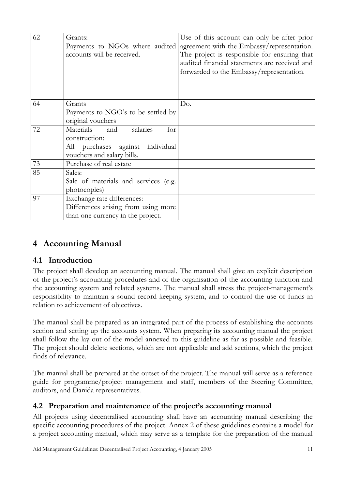| 62 | Grants:<br>Payments to NGOs where audited<br>accounts will be received.                                                   | Use of this account can only be after prior<br>agreement with the Embassy/representation.<br>The project is responsible for ensuring that<br>audited financial statements are received and<br>forwarded to the Embassy/representation. |
|----|---------------------------------------------------------------------------------------------------------------------------|----------------------------------------------------------------------------------------------------------------------------------------------------------------------------------------------------------------------------------------|
| 64 | Grants<br>Payments to NGO's to be settled by<br>original vouchers                                                         | Do.                                                                                                                                                                                                                                    |
| 72 | salaries<br>Materials<br>and<br>for<br>construction:<br>All purchases against<br>individual<br>vouchers and salary bills. |                                                                                                                                                                                                                                        |
| 73 | Purchase of real estate                                                                                                   |                                                                                                                                                                                                                                        |
| 85 | Sales:<br>Sale of materials and services (e.g.<br>photocopies)                                                            |                                                                                                                                                                                                                                        |
| 97 | Exchange rate differences:<br>Differences arising from using more<br>than one currency in the project.                    |                                                                                                                                                                                                                                        |

# <span id="page-10-0"></span>**4 Accounting Manual**

# <span id="page-10-1"></span>**4.1 Introduction**

The project shall develop an accounting manual. The manual shall give an explicit description of the project's accounting procedures and of the organisation of the accounting function and the accounting system and related systems. The manual shall stress the project-management's responsibility to maintain a sound record-keeping system, and to control the use of funds in relation to achievement of objectives.

The manual shall be prepared as an integrated part of the process of establishing the accounts section and setting up the accounts system. When preparing its accounting manual the project shall follow the lay out of the model annexed to this guideline as far as possible and feasible. The project should delete sections, which are not applicable and add sections, which the project finds of relevance.

The manual shall be prepared at the outset of the project. The manual will serve as a reference guide for programme/project management and staff, members of the Steering Committee, auditors, and Danida representatives.

#### <span id="page-10-2"></span>**4.2 Preparation and maintenance of the project's accounting manual**

All projects using decentralised accounting shall have an accounting manual describing the specific accounting procedures of the project. Annex 2 of these guidelines contains a model for a project accounting manual, which may serve as a template for the preparation of the manual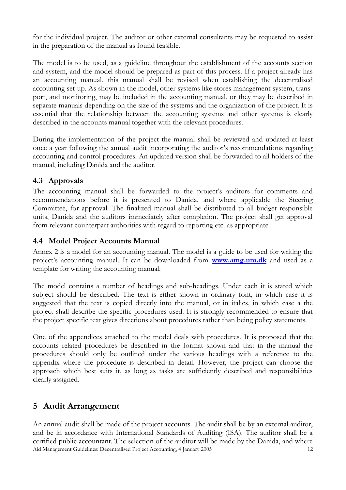for the individual project. The auditor or other external consultants may be requested to assist in the preparation of the manual as found feasible.

The model is to be used, as a guideline throughout the establishment of the accounts section and system, and the model should be prepared as part of this process. If a project already has an accounting manual, this manual shall be revised when establishing the decentralised accounting set-up. As shown in the model, other systems like stores management system, transport, and monitoring, may be included in the accounting manual, or they may be described in separate manuals depending on the size of the systems and the organization of the project. It is essential that the relationship between the accounting systems and other systems is clearly described in the accounts manual together with the relevant procedures.

During the implementation of the project the manual shall be reviewed and updated at least once a year following the annual audit incorporating the auditor's recommendations regarding accounting and control procedures. An updated version shall be forwarded to all holders of the manual, including Danida and the auditor.

# <span id="page-11-0"></span>**4.3 Approvals**

The accounting manual shall be forwarded to the project's auditors for comments and recommendations before it is presented to Danida, and where applicable the Steering Committee, for approval. The finalized manual shall be distributed to all budget responsible units, Danida and the auditors immediately after completion. The project shall get approval from relevant counterpart authorities with regard to reporting etc. as appropriate.

# <span id="page-11-1"></span>**4.4 Model Project Accounts Manual**

Annex 2 is a model for an accounting manual. The model is a guide to be used for writing the project's accounting manual. It can be downloaded from **[www.amg.um.dk](http://www.amg.um.dk/)** and used as a template for writing the accounting manual.

The model contains a number of headings and sub-headings. Under each it is stated which subject should be described. The text is either shown in ordinary font, in which case it is suggested that the text is copied directly into the manual, or in italics, in which case a the project shall describe the specific procedures used. It is strongly recommended to ensure that the project specific text gives directions about procedures rather than being policy statements.

One of the appendices attached to the model deals with procedures. It is proposed that the accounts related procedures be described in the format shown and that in the manual the procedures should only be outlined under the various headings with a reference to the appendix where the procedure is described in detail. However, the project can choose the approach which best suits it, as long as tasks are sufficiently described and responsibilities clearly assigned.

# <span id="page-11-2"></span>**5 Audit Arrangement**

Aid Management Guidelines: Decentralised Project Accounting, 4 January 2005 12 An annual audit shall be made of the project accounts. The audit shall be by an external auditor, and be in accordance with International Standards of Auditing (ISA). The auditor shall be a certified public accountant. The selection of the auditor will be made by the Danida, and where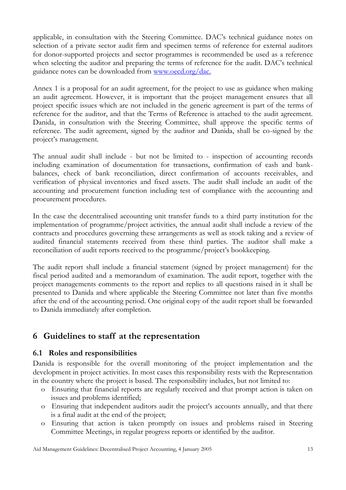applicable, in consultation with the Steering Committee. DAC's technical guidance notes on selection of a private sector audit firm and specimen terms of reference for external auditors for donor-supported projects and sector programmes is recommended be used as a reference when selecting the auditor and preparing the terms of reference for the audit. DAC's technical guidance notes can be downloaded from [www.oecd.org/dac.](http://www.oecd.org/dac.) 

Annex 1 is a proposal for an audit agreement, for the project to use as guidance when making an audit agreement. However, it is important that the project management ensures that all project specific issues which are not included in the generic agreement is part of the terms of reference for the auditor, and that the Terms of Reference is attached to the audit agreement. Danida, in consultation with the Steering Committee, shall approve the specific terms of reference. The audit agreement, signed by the auditor and Danida, shall be co-signed by the project's management.

The annual audit shall include - but not be limited to - inspection of accounting records including examination of documentation for transactions, confirmation of cash and bankbalances, check of bank reconciliation, direct confirmation of accounts receivables, and verification of physical inventories and fixed assets. The audit shall include an audit of the accounting and procurement function including test of compliance with the accounting and procurement procedures.

In the case the decentralised accounting unit transfer funds to a third party institution for the implementation of programme/project activities, the annual audit shall include a review of the contracts and procedures governing these arrangements as well as stock taking and a review of audited financial statements received from these third parties. The auditor shall make a reconciliation of audit reports received to the programme/project's bookkeeping.

The audit report shall include a financial statement (signed by project management) for the fiscal period audited and a memorandum of examination. The audit report, together with the project managements comments to the report and replies to all questions raised in it shall be presented to Danida and where applicable the Steering Committee not later than five months after the end of the accounting period. One original copy of the audit report shall be forwarded to Danida immediately after completion.

# <span id="page-12-0"></span>**6 Guidelines to staff at the representation**

# <span id="page-12-1"></span>**6.1 Roles and responsibilities**

Danida is responsible for the overall monitoring of the project implementation and the development in project activities. In most cases this responsibility rests with the Representation in the country where the project is based. The responsibility includes, but not limited to:

- o Ensuring that financial reports are regularly received and that prompt action is taken on issues and problems identified;
- o Ensuring that independent auditors audit the project's accounts annually, and that there is a final audit at the end of the project;
- o Ensuring that action is taken promptly on issues and problems raised in Steering Committee Meetings, in regular progress reports or identified by the auditor.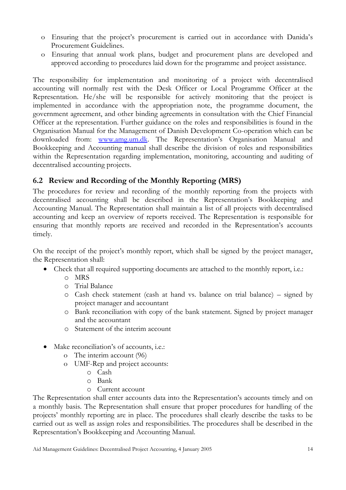- o Ensuring that the project's procurement is carried out in accordance with Danida's Procurement Guidelines.
- o Ensuring that annual work plans, budget and procurement plans are developed and approved according to procedures laid down for the programme and project assistance.

The responsibility for implementation and monitoring of a project with decentralised accounting will normally rest with the Desk Officer or Local Programme Officer at the Representation. He/she will be responsible for actively monitoring that the project is implemented in accordance with the appropriation note, the programme document, the government agreement, and other binding agreements in consultation with the Chief Financial Officer at the representation. Further guidance on the roles and responsibilities is found in the Organisation Manual for the Management of Danish Development Co-operation which can be downloaded from: [www.amg.um.dk](http://www.amg.um.dk/). The Representation's Organisation Manual and Bookkeeping and Accounting manual shall describe the division of roles and responsibilities within the Representation regarding implementation, monitoring, accounting and auditing of decentralised accounting projects.

# <span id="page-13-0"></span>**6.2 Review and Recording of the Monthly Reporting (MRS)**

The procedures for review and recording of the monthly reporting from the projects with decentralised accounting shall be described in the Representation's Bookkeeping and Accounting Manual. The Representation shall maintain a list of all projects with decentralised accounting and keep an overview of reports received. The Representation is responsible for ensuring that monthly reports are received and recorded in the Representation's accounts timely.

On the receipt of the project's monthly report, which shall be signed by the project manager, the Representation shall:

- Check that all required supporting documents are attached to the monthly report, i.e.:
	- o MRS
	- o Trial Balance
	- o Cash check statement (cash at hand vs. balance on trial balance) signed by project manager and accountant
	- o Bank reconciliation with copy of the bank statement. Signed by project manager and the accountant
	- o Statement of the interim account
- Make reconciliation's of accounts, i.e.:
	- o The interim account (96)
	- o UMF-Rep and project accounts:
		- o Cash
		- o Bank
		- o Current account

The Representation shall enter accounts data into the Representation's accounts timely and on a monthly basis. The Representation shall ensure that proper procedures for handling of the projects' monthly reporting are in place. The procedures shall clearly describe the tasks to be carried out as well as assign roles and responsibilities. The procedures shall be described in the Representation's Bookkeeping and Accounting Manual.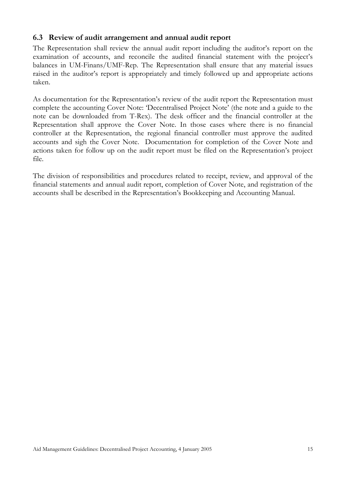### <span id="page-14-0"></span>**6.3 Review of audit arrangement and annual audit report**

The Representation shall review the annual audit report including the auditor's report on the examination of accounts, and reconcile the audited financial statement with the project's balances in UM-Finans/UMF-Rep. The Representation shall ensure that any material issues raised in the auditor's report is appropriately and timely followed up and appropriate actions taken.

As documentation for the Representation's review of the audit report the Representation must complete the accounting Cover Note: 'Decentralised Project Note' (the note and a guide to the note can be downloaded from T-Rex). The desk officer and the financial controller at the Representation shall approve the Cover Note. In those cases where there is no financial controller at the Representation, the regional financial controller must approve the audited accounts and sigh the Cover Note. Documentation for completion of the Cover Note and actions taken for follow up on the audit report must be filed on the Representation's project file.

The division of responsibilities and procedures related to receipt, review, and approval of the financial statements and annual audit report, completion of Cover Note, and registration of the accounts shall be described in the Representation's Bookkeeping and Accounting Manual.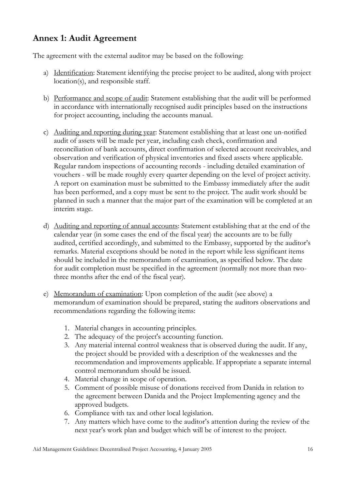# <span id="page-15-0"></span>**Annex 1: Audit Agreement**

The agreement with the external auditor may be based on the following:

- a) Identification: Statement identifying the precise project to be audited, along with project location(s), and responsible staff.
- b) Performance and scope of audit: Statement establishing that the audit will be performed in accordance with internationally recognised audit principles based on the instructions for project accounting, including the accounts manual.
- c) Auditing and reporting during year: Statement establishing that at least one un-notified audit of assets will be made per year, including cash check, confirmation and reconciliation of bank accounts, direct confirmation of selected account receivables, and observation and verification of physical inventories and fixed assets where applicable. Regular random inspections of accounting records - including detailed examination of vouchers - will be made roughly every quarter depending on the level of project activity. A report on examination must be submitted to the Embassy immediately after the audit has been performed, and a copy must be sent to the project. The audit work should be planned in such a manner that the major part of the examination will be completed at an interim stage.
- d) Auditing and reporting of annual accounts: Statement establishing that at the end of the calendar year (in some cases the end of the fiscal year) the accounts are to be fully audited, certified accordingly, and submitted to the Embassy, supported by the auditor's remarks. Material exceptions should be noted in the report while less significant items should be included in the memorandum of examination, as specified below. The date for audit completion must be specified in the agreement (normally not more than twothree months after the end of the fiscal year).
- e) Memorandum of examination: Upon completion of the audit (see above) a memorandum of examination should be prepared, stating the auditors observations and recommendations regarding the following items:
	- 1. Material changes in accounting principles.
	- 2. The adequacy of the project's accounting function.
	- 3. Any material internal control weakness that is observed during the audit. If any, the project should be provided with a description of the weaknesses and the recommendation and improvements applicable. If appropriate a separate internal control memorandum should be issued.
	- 4. Material change in scope of operation.
	- 5. Comment of possible misuse of donations received from Danida in relation to the agreement between Danida and the Project Implementing agency and the approved budgets.
	- 6. Compliance with tax and other local legislation.
	- 7. Any matters which have come to the auditor's attention during the review of the next year's work plan and budget which will be of interest to the project.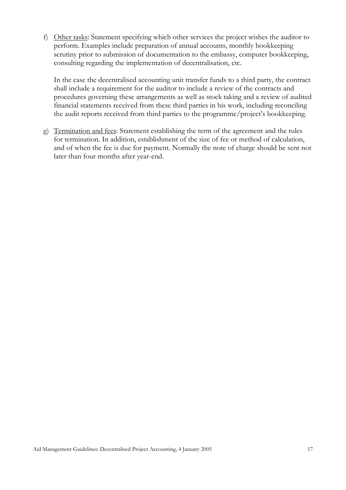f) Other tasks: Statement specifying which other services the project wishes the auditor to perform. Examples include preparation of annual accounts, monthly bookkeeping scrutiny prior to submission of documentation to the embassy, computer bookkeeping, consulting regarding the implementation of decentralisation, etc.

In the case the decentralised accounting unit transfer funds to a third party, the contract shall include a requirement for the auditor to include a review of the contracts and procedures governing these arrangements as well as stock taking and a review of audited financial statements received from these third parties in his work, including reconciling the audit reports received from third parties to the programme/project's bookkeeping.

g) Termination and fees: Statement establishing the term of the agreement and the rules for termination. In addition, establishment of the size of fee or method of calculation, and of when the fee is due for payment. Normally the note of charge should be sent not later than four months after year-end.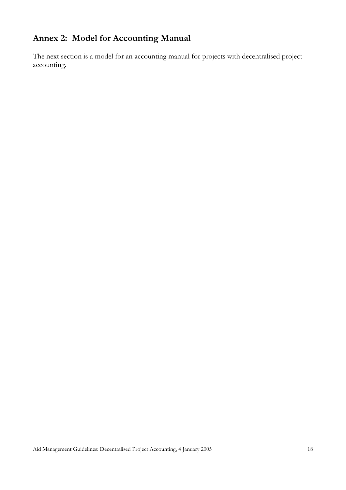# <span id="page-17-0"></span>**Annex 2: Model for Accounting Manual**

The next section is a model for an accounting manual for projects with decentralised project accounting.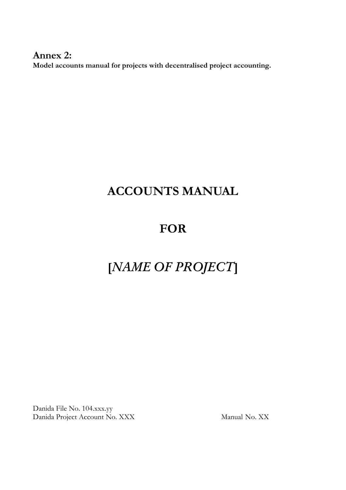**Annex 2: Model accounts manual for projects with decentralised project accounting.** 

# **ACCOUNTS MANUAL**

# **FOR**

# **[***NAME OF PROJECT***]**

Danida File No. 104.xxx.yy Danida Project Account No. XXX Manual No. XX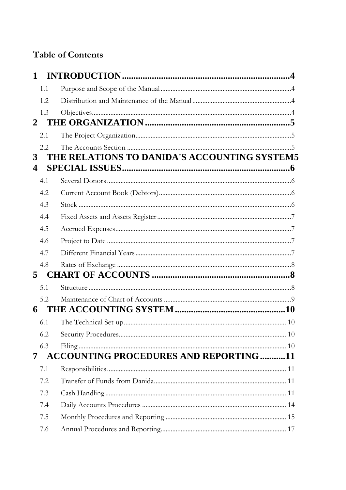# **Table of Contents**

| 1                       |     |                                               |  |
|-------------------------|-----|-----------------------------------------------|--|
|                         | 1.1 |                                               |  |
|                         | 1.2 |                                               |  |
|                         | 1.3 |                                               |  |
| $\mathbf{2}$            |     |                                               |  |
|                         | 2.1 |                                               |  |
|                         | 2.2 |                                               |  |
| 3                       |     | THE RELATIONS TO DANIDA'S ACCOUNTING SYSTEM5  |  |
| $\overline{\mathbf{4}}$ |     |                                               |  |
|                         | 4.1 |                                               |  |
|                         | 4.2 |                                               |  |
|                         | 4.3 |                                               |  |
|                         | 4.4 |                                               |  |
|                         | 4.5 |                                               |  |
|                         | 4.6 |                                               |  |
|                         | 4.7 |                                               |  |
|                         | 4.8 |                                               |  |
| 5                       |     |                                               |  |
|                         | 5.1 |                                               |  |
|                         | 5.2 |                                               |  |
| 6                       |     |                                               |  |
|                         | 6.1 |                                               |  |
|                         | 6.2 |                                               |  |
|                         | 6.3 |                                               |  |
| 7                       |     | <b>ACCOUNTING PROCEDURES AND REPORTING 11</b> |  |
|                         | 7.1 |                                               |  |
|                         | 7.2 |                                               |  |
|                         | 7.3 |                                               |  |
|                         | 7.4 |                                               |  |
|                         | 7.5 |                                               |  |
|                         | 7.6 |                                               |  |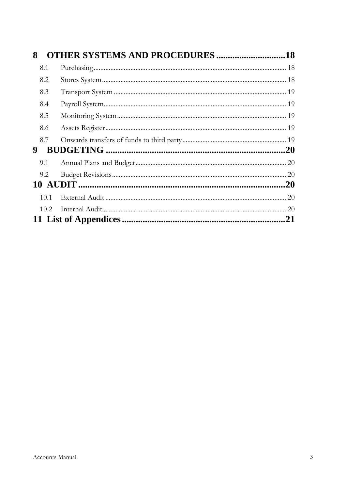| 8 |      | <b>OTHER SYSTEMS AND PROCEDURES 18</b> |    |
|---|------|----------------------------------------|----|
|   | 8.1  |                                        |    |
|   | 8.2  |                                        |    |
|   | 8.3  |                                        |    |
|   | 8.4  |                                        |    |
|   | 8.5  |                                        |    |
|   | 8.6  |                                        |    |
|   | 8.7  |                                        |    |
| 9 |      |                                        |    |
|   | 9.1  |                                        |    |
|   | 9.2  |                                        |    |
|   |      |                                        |    |
|   | 10.1 |                                        |    |
|   | 10.2 |                                        |    |
|   |      |                                        | 21 |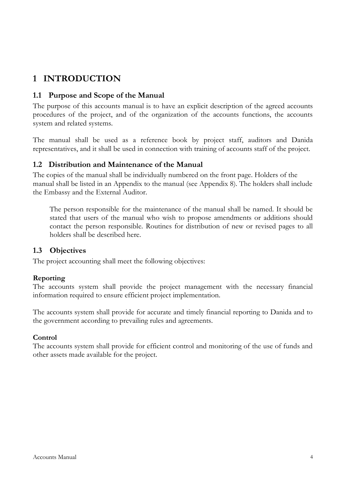# <span id="page-21-0"></span>**1 INTRODUCTION**

### <span id="page-21-1"></span>**1.1 Purpose and Scope of the Manual**

The purpose of this accounts manual is to have an explicit description of the agreed accounts procedures of the project, and of the organization of the accounts functions, the accounts system and related systems.

The manual shall be used as a reference book by project staff, auditors and Danida representatives, and it shall be used in connection with training of accounts staff of the project.

#### <span id="page-21-2"></span>**1.2 Distribution and Maintenance of the Manual**

The copies of the manual shall be individually numbered on the front page. Holders of the manual shall be listed in an Appendix to the manual (see Appendix 8). The holders shall include the Embassy and the External Auditor.

The person responsible for the maintenance of the manual shall be named. It should be stated that users of the manual who wish to propose amendments or additions should contact the person responsible. Routines for distribution of new or revised pages to all holders shall be described here.

#### <span id="page-21-3"></span>**1.3 Objectives**

The project accounting shall meet the following objectives:

#### **Reporting**

The accounts system shall provide the project management with the necessary financial information required to ensure efficient project implementation.

The accounts system shall provide for accurate and timely financial reporting to Danida and to the government according to prevailing rules and agreements.

#### **Control**

The accounts system shall provide for efficient control and monitoring of the use of funds and other assets made available for the project.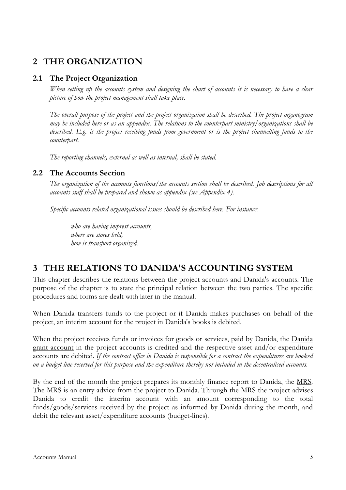# <span id="page-22-0"></span>**2 THE ORGANIZATION**

#### <span id="page-22-1"></span>**2.1 The Project Organization**

*When setting up the accounts system and designing the chart of accounts it is necessary to have a clear picture of how the project management shall take place.*

*The overall purpose of the project and the project organization shall be described. The project organogram may be included here or as an appendix. The relations to the counterpart ministry/organizations shall be described. E.g. is the project receiving funds from government or is the project channelling funds to the counterpart.*

*The reporting channels, external as well as internal, shall be stated.*

#### <span id="page-22-2"></span>**2.2 The Accounts Section**

*The organization of the accounts functions/the accounts section shall be described. Job descriptions for all accounts staff shall be prepared and shown as appendix (see Appendix 4).*

*Specific accounts related organizational issues should be described here. For instance:*

*who are having imprest accounts, where are stores held, how is transport organized.*

# <span id="page-22-3"></span>**3 THE RELATIONS TO DANIDA'S ACCOUNTING SYSTEM**

This chapter describes the relations between the project accounts and Danida's accounts. The purpose of the chapter is to state the principal relation between the two parties. The specific procedures and forms are dealt with later in the manual.

When Danida transfers funds to the project or if Danida makes purchases on behalf of the project, an interim account for the project in Danida's books is debited.

When the project receives funds or invoices for goods or services, paid by Danida, the Danida grant account in the project accounts is credited and the respective asset and/or expenditure accounts are debited. *If the contract office in Danida is responsible for a contract the expenditures are booked on a budget line reserved for this purpose and the expenditure thereby not included in the decentralised accounts.* 

By the end of the month the project prepares its monthly finance report to Danida, the MRS. The MRS is an entry advice from the project to Danida. Through the MRS the project advises Danida to credit the interim account with an amount corresponding to the total funds/goods/services received by the project as informed by Danida during the month, and debit the relevant asset/expenditure accounts (budget-lines).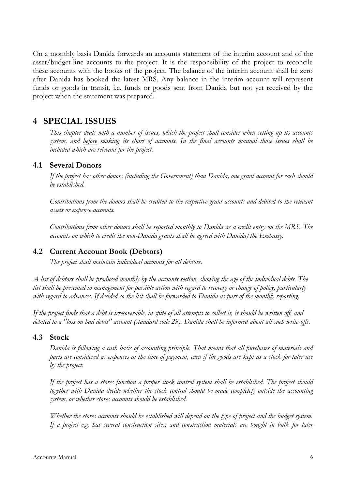On a monthly basis Danida forwards an accounts statement of the interim account and of the asset/budget-line accounts to the project. It is the responsibility of the project to reconcile these accounts with the books of the project. The balance of the interim account shall be zero after Danida has booked the latest MRS. Any balance in the interim account will represent funds or goods in transit, i.e. funds or goods sent from Danida but not yet received by the project when the statement was prepared.

# <span id="page-23-0"></span>**4 SPECIAL ISSUES**

*This chapter deals with a number of issues, which the project shall consider when setting up its accounts system, and before making its chart of accounts. In the final accounts manual those issues shall be included which are relevant for the project.*

#### <span id="page-23-1"></span>**4.1 Several Donors**

*If the project has other donors (including the Government) than Danida, one grant account for each should be established.*

*Contributions from the donors shall be credited to the respective grant accounts and debited to the relevant assets or expense accounts.*

*Contributions from other donors shall be reported monthly to Danida as a credit entry on the MRS. The accounts on which to credit the non-Danida grants shall be agreed with Danida/the Embassy.* 

#### <span id="page-23-2"></span>**4.2 Current Account Book (Debtors)**

*The project shall maintain individual accounts for all debtors.* 

*A list of debtors shall be produced monthly by the accounts section, showing the age of the individual debts. The list shall be presented to management for possible action with regard to recovery or change of policy, particularly with regard to advances. If decided so the list shall be forwarded to Danida as part of the monthly reporting.*

*If the project finds that a debt is irrecoverable, in spite of all attempts to collect it, it should be written off, and debited to a "loss on bad debts" account (standard code 29). Danida shall be informed about all such write-offs.*

#### <span id="page-23-3"></span>**4.3 Stock**

*Danida is following a cash basis of accounting principle. That means that all purchases of materials and parts are considered as expenses at the time of payment, even if the goods are kept as a stock for later use by the project.*

*If the project has a stores function a proper stock control system shall be established. The project should together with Danida decide whether the stock control should be made completely outside the accounting system, or whether stores accounts should be established.* 

*Whether the stores accounts should be established will depend on the type of project and the budget system. If a project e.g. has several construction sites, and construction materials are bought in bulk for later*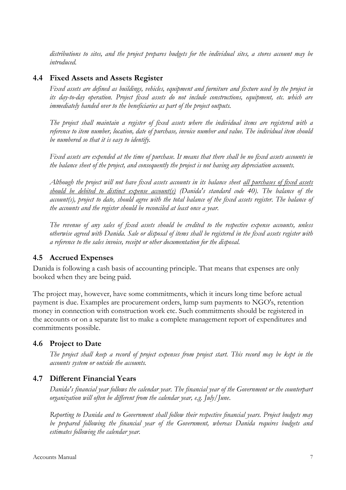*distributions to sites, and the project prepares budgets for the individual sites, a stores account may be introduced.* 

### <span id="page-24-0"></span>**4.4 Fixed Assets and Assets Register**

*Fixed assets are defined as buildings, vehicles, equipment and furniture and fixture used by the project in its day-to-day operation. Project fixed assets do not include constructions, equipment, etc. which are immediately handed over to the beneficiaries as part of the project outputs.*

*The project shall maintain a register of fixed assets where the individual items are registered with a reference to item number, location, date of purchase, invoice number and value. The individual item should be numbered so that it is easy to identify.* 

*Fixed assets are expended at the time of purchase. It means that there shall be no fixed assets accounts in the balance sheet of the project, and consequently the project is not having any depreciation accounts.*

*Although the project will not have fixed assets accounts in its balance sheet all purchases of fixed assets should be debited to distinct expense account(s) (Danida's standard code 40). The balance of the*  account(s), project to date, should agree with the total balance of the fixed assets register. The balance of *the accounts and the register should be reconciled at least once a year.*

*The revenue of any sales of fixed assets should be credited to the respective expense accounts, unless otherwise agreed with Danida. Sale or disposal of items shall be registered in the fixed assets register with a reference to the sales invoice, receipt or other documentation for the disposal.*

#### <span id="page-24-1"></span>**4.5 Accrued Expenses**

Danida is following a cash basis of accounting principle. That means that expenses are only booked when they are being paid.

The project may, however, have some commitments, which it incurs long time before actual payment is due. Examples are procurement orders, lump sum payments to NGO's, retention money in connection with construction work etc. Such commitments should be registered in the accounts or on a separate list to make a complete management report of expenditures and commitments possible.

# <span id="page-24-2"></span>**4.6 Project to Date**

*The project shall keep a record of project expenses from project start. This record may be kept in the accounts system or outside the accounts.*

#### <span id="page-24-3"></span>**4.7 Different Financial Years**

*Danida's financial year follows the calendar year. The financial year of the Government or the counterpart organization will often be different from the calendar year, e.g. July/June*.

*Reporting to Danida and to Government shall follow their respective financial years. Project budgets may be prepared following the financial year of the Government, whereas Danida requires budgets and estimates following the calendar year.*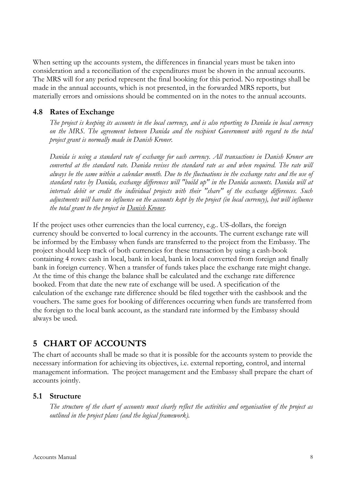When setting up the accounts system, the differences in financial years must be taken into consideration and a reconciliation of the expenditures must be shown in the annual accounts. The MRS will for any period represent the final booking for this period. No repostings shall be made in the annual accounts, which is not presented, in the forwarded MRS reports, but materially errors and omissions should be commented on in the notes to the annual accounts.

### <span id="page-25-0"></span>**4.8 Rates of Exchange**

*The project is keeping its accounts in the local currency, and is also reporting to Danida in local currency on the MRS. The agreement between Danida and the recipient Government with regard to the total project grant is normally made in Danish Kroner.*

*Danida is using a standard rate of exchange for each currency. All transactions in Danish Kroner are converted at the standard rate. Danida revises the standard rate as and when required. The rate will always be the same within a calendar month. Due to the fluctuations in the exchange rates and the use of standard rates by Danida, exchange differences will "build up" in the Danida accounts. Danida will at intervals debit or credit the individual projects with their "share" of the exchange differences. Such adjustments will have no influence on the accounts kept by the project (in local currency), but will influence the total grant to the project in Danish Kroner.*

If the project uses other currencies than the local currency, e.g.. US-dollars, the foreign currency should be converted to local currency in the accounts. The current exchange rate will be informed by the Embassy when funds are transferred to the project from the Embassy. The project should keep track of both currencies for these transaction by using a cash-book containing 4 rows: cash in local, bank in local, bank in local converted from foreign and finally bank in foreign currency. When a transfer of funds takes place the exchange rate might change. At the time of this change the balance shall be calculated and the exchange rate difference booked. From that date the new rate of exchange will be used. A specification of the calculation of the exchange rate difference should be filed together with the cashbook and the vouchers. The same goes for booking of differences occurring when funds are transferred from the foreign to the local bank account, as the standard rate informed by the Embassy should always be used.

# <span id="page-25-1"></span>**5 CHART OF ACCOUNTS**

The chart of accounts shall be made so that it is possible for the accounts system to provide the necessary information for achieving its objectives, i.e. external reporting, control, and internal management information. The project management and the Embassy shall prepare the chart of accounts jointly.

#### <span id="page-25-2"></span>**5.1 Structure**

*The structure of the chart of accounts must clearly reflect the activities and organisation of the project as outlined in the project plans (and the logical framework).*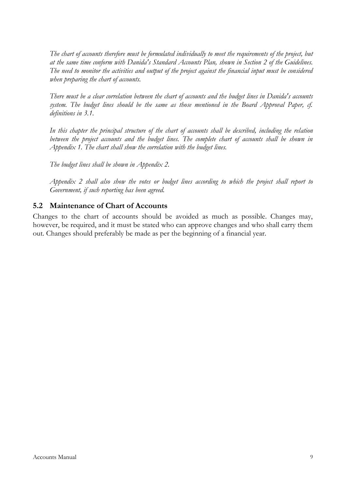*The chart of accounts therefore must be formulated individually to meet the requirements of the project, but at the same time conform with Danida's Standard Accounts Plan, shown in Section 2 of the Guidelines. The need to monitor the activities and output of the project against the financial input must be considered when preparing the chart of accounts.*

*There must be a clear correlation between the chart of accounts and the budget lines in Danida's accounts*  system. The budget lines should be the same as those mentioned in the Board Approval Paper, cf. *definitions in 3.1.* 

*In this chapter the principal structure of the chart of accounts shall be described, including the relation*  between the project accounts and the budget lines. The complete chart of accounts shall be shown in *Appendix 1. The chart shall show the correlation with the budget lines.*

*The budget lines shall be shown in Appendix 2.*

*Appendix 2 shall also show the votes or budget lines according to which the project shall report to Government, if such reporting has been agreed.*

### <span id="page-26-0"></span>**5.2 Maintenance of Chart of Accounts**

Changes to the chart of accounts should be avoided as much as possible. Changes may, however, be required, and it must be stated who can approve changes and who shall carry them out. Changes should preferably be made as per the beginning of a financial year.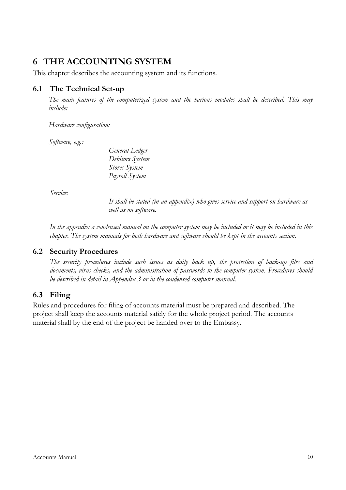# <span id="page-27-0"></span>**6 THE ACCOUNTING SYSTEM**

This chapter describes the accounting system and its functions.

### <span id="page-27-1"></span>**6.1 The Technical Set-up**

*The main features of the computerized system and the various modules shall be described. This may include:* 

*Hardware configuration:*

*Software, e.g.:*

*General Ledger Debitors System Stores System Payroll System*

*Service:*

*It shall be stated (in an appendix) who gives service and support on hardware as well as on software.*

*In the appendix a condensed manual on the computer system may be included or it may be included in this chapter. The system manuals for both hardware and software should be kept in the accounts section.*

#### <span id="page-27-2"></span>**6.2 Security Procedures**

*The security procedures include such issues as daily back up, the protection of back-up files and documents, virus checks, and the administration of passwords to the computer system. Procedures should be described in detail in Appendix 3 or in the condensed computer manual*.

# <span id="page-27-3"></span>**6.3 Filing**

Rules and procedures for filing of accounts material must be prepared and described. The project shall keep the accounts material safely for the whole project period. The accounts material shall by the end of the project be handed over to the Embassy.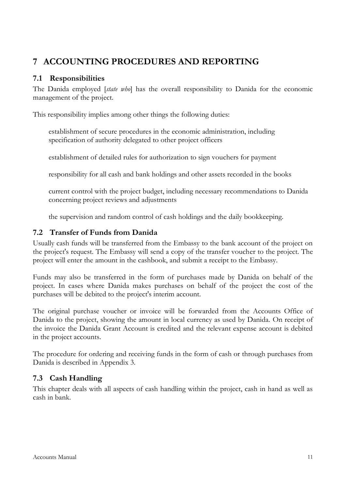# <span id="page-28-0"></span>**7 ACCOUNTING PROCEDURES AND REPORTING**

# <span id="page-28-1"></span>**7.1 Responsibilities**

The Danida employed [*state who*] has the overall responsibility to Danida for the economic management of the project.

This responsibility implies among other things the following duties:

establishment of secure procedures in the economic administration, including specification of authority delegated to other project officers

establishment of detailed rules for authorization to sign vouchers for payment

responsibility for all cash and bank holdings and other assets recorded in the books

current control with the project budget, including necessary recommendations to Danida concerning project reviews and adjustments

the supervision and random control of cash holdings and the daily bookkeeping.

# <span id="page-28-2"></span>**7.2 Transfer of Funds from Danida**

Usually cash funds will be transferred from the Embassy to the bank account of the project on the project's request. The Embassy will send a copy of the transfer voucher to the project. The project will enter the amount in the cashbook, and submit a receipt to the Embassy.

Funds may also be transferred in the form of purchases made by Danida on behalf of the project. In cases where Danida makes purchases on behalf of the project the cost of the purchases will be debited to the project's interim account.

The original purchase voucher or invoice will be forwarded from the Accounts Office of Danida to the project, showing the amount in local currency as used by Danida. On receipt of the invoice the Danida Grant Account is credited and the relevant expense account is debited in the project accounts.

The procedure for ordering and receiving funds in the form of cash or through purchases from Danida is described in Appendix 3.

# <span id="page-28-3"></span>**7.3 Cash Handling**

This chapter deals with all aspects of cash handling within the project, cash in hand as well as cash in bank.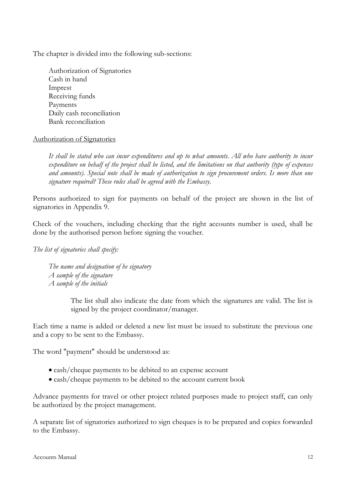The chapter is divided into the following sub-sections:

Authorization of Signatories Cash in hand Imprest Receiving funds Payments Daily cash reconciliation Bank reconciliation

#### Authorization of Signatories

*It shall be stated who can incur expenditures and up to what amounts. All who have authority to incur expenditure on behalf of the project shall be listed, and the limitations on that authority (type of expenses and amounts). Special note shall be made of authorization to sign procurement orders. Is more than one signature required? These rules shall be agreed with the Embassy.*

Persons authorized to sign for payments on behalf of the project are shown in the list of signatories in Appendix 9.

Check of the vouchers, including checking that the right accounts number is used, shall be done by the authorised person before signing the voucher.

*The list of signatories shall specify:*

*The name and designation of he signatory A sample of the signature A sample of the initials*

> The list shall also indicate the date from which the signatures are valid. The list is signed by the project coordinator/manager.

Each time a name is added or deleted a new list must be issued to substitute the previous one and a copy to be sent to the Embassy.

The word "payment" should be understood as:

- cash/cheque payments to be debited to an expense account
- cash/cheque payments to be debited to the account current book

Advance payments for travel or other project related purposes made to project staff, can only be authorized by the project management.

A separate list of signatories authorized to sign cheques is to be prepared and copies forwarded to the Embassy.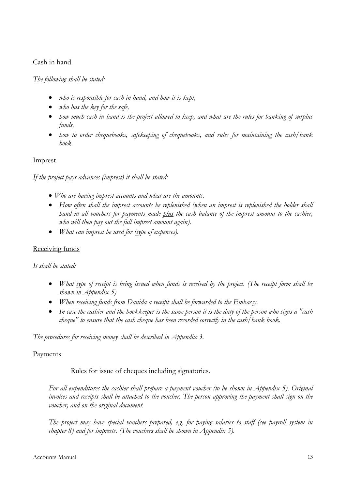#### Cash in hand

#### *The following shall be stated:*

- *who is responsible for cash in hand, and how it is kept,*
- *who has the key for the safe,*
- *how much cash in hand is the project allowed to keep, and what are the rules for banking of surplus funds,*
- *how to order chequebooks, safekeeping of chequebooks, and rules for maintaining the cash/bank book.*

#### Imprest

*If the project pays advances (imprest) it shall be stated:* 

- *Who are having imprest accounts and what are the amounts.*
- *How often shall the imprest accounts be replenished (when an imprest is replenished the holder shall hand in all vouchers for payments made plus the cash balance of the imprest amount to the cashier, who will then pay out the full imprest amount again).*
- *What can imprest be used for (type of expenses).*

#### Receiving funds

#### *It shall be stated:*

- *What type of receipt is being issued when funds is received by the project. (The receipt form shall be shown in Appendix 5)*
- *When receiving funds from Danida a receipt shall be forwarded to the Embassy.*
- *In case the cashier and the bookkeeper is the same person it is the duty of the person who signs a "cash cheque" to ensure that the cash cheque has been recorded correctly in the cash/bank book.*

*The procedures for receiving money shall be described in Appendix 3.*

#### **Payments**

Rules for issue of cheques including signatories.

*For all expenditures the cashier shall prepare a payment voucher (to be shown in Appendix 5). Original invoices and receipts shall be attached to the voucher. The person approving the payment shall sign on the voucher, and on the original document.*

*The project may have special vouchers prepared, e.g. for paying salaries to staff (see payroll system in chapter 8) and for imprests. (The vouchers shall be shown in Appendix 5).*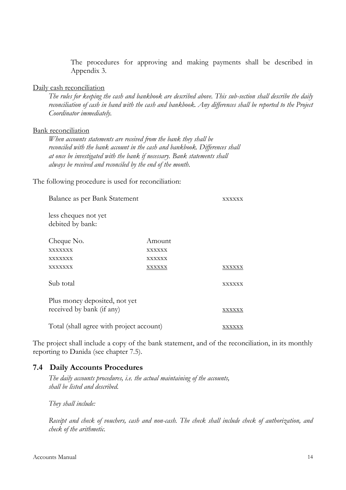The procedures for approving and making payments shall be described in Appendix 3.

#### Daily cash reconciliation

*The rules for keeping the cash and bankbook are described above. This sub-section shall describe the daily reconciliation of cash in hand with the cash and bankbook. Any differences shall be reported to the Project Coordinator immediately.*

#### Bank reconciliation

*When accounts statements are received from the bank they shall be reconciled with the bank account in the cash and bankbook. Differences shall at once be investigated with the bank if necessary. Bank statements shall always be received and reconciled by the end of the month.*

The following procedure is used for reconciliation:

| Balance as per Bank Statement                              |               | xxxxxx        |
|------------------------------------------------------------|---------------|---------------|
| less cheques not yet<br>debited by bank:                   |               |               |
| Cheque No.                                                 | Amount        |               |
| <b>XXXXXXX</b>                                             | <b>XXXXXX</b> |               |
| XXXXXXX                                                    | XXXXXX        |               |
| <b>XXXXXXX</b>                                             | XXXXXX        | XXXXXX        |
| Sub total                                                  |               | <b>XXXXXX</b> |
| Plus money deposited, not yet<br>received by bank (if any) |               | XXXXXX        |
| Total (shall agree with project account)                   |               | XXXXXX        |

The project shall include a copy of the bank statement, and of the reconciliation, in its monthly reporting to Danida (see chapter 7.5).

#### <span id="page-31-0"></span>**7.4 Daily Accounts Procedures**

*The daily accounts procedures, i.e. the actual maintaining of the accounts, shall be listed and described.* 

*They shall include:*

*Receipt and check of vouchers, cash and non-cash. The check shall include check of authorization, and check of the arithmetic.*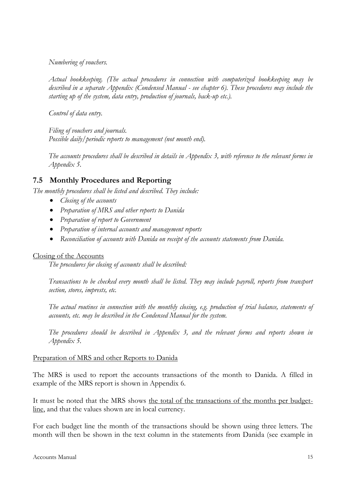*Numbering of vouchers.*

*Actual bookkeeping. (The actual procedures in connection with computerized bookkeeping may be described in a separate Appendix (Condensed Manual - see chapter 6). These procedures may include the starting up of the system, data entry, production of journals, back-up etc.).*

*Control of data entry.*

*Filing of vouchers and journals. Possible daily/periodic reports to management (not month end).*

*The accounts procedures shall be described in details in Appendix 3, with reference to the relevant forms in Appendix 5.*

# <span id="page-32-0"></span>**7.5 Monthly Procedures and Reporting**

*The monthly procedures shall be listed and described. They include:*

- *Closing of the accounts*
- *Preparation of MRS and other reports to Danida*
- *Preparation of report to Government*
- *Preparation of internal accounts and management reports*
- *Reconciliation of accounts with Danida on receipt of the accounts statements from Danida.*

#### Closing of the Accounts

*The procedures for closing of accounts shall be described:*

*Transactions to be checked every month shall be listed. They may include payroll, reports from transport section, stores, imprests, etc.*

*The actual routines in connection with the monthly closing, e.g. production of trial balance, statements of accounts, etc. may be described in the Condensed Manual for the system.*

*The procedures should be described in Appendix 3, and the relevant forms and reports shown in Appendix 5.*

#### Preparation of MRS and other Reports to Danida

The MRS is used to report the accounts transactions of the month to Danida. A filled in example of the MRS report is shown in Appendix 6.

It must be noted that the MRS shows the total of the transactions of the months per budgetline, and that the values shown are in local currency.

For each budget line the month of the transactions should be shown using three letters. The month will then be shown in the text column in the statements from Danida (see example in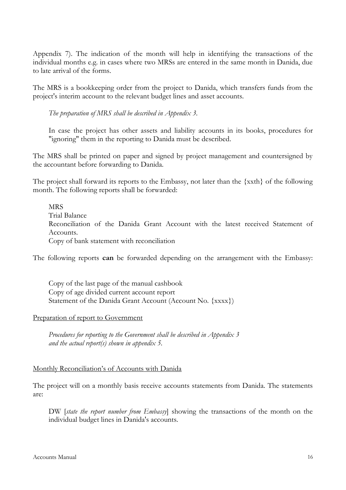Appendix 7). The indication of the month will help in identifying the transactions of the individual months e.g. in cases where two MRSs are entered in the same month in Danida, due to late arrival of the forms.

The MRS is a bookkeeping order from the project to Danida, which transfers funds from the project's interim account to the relevant budget lines and asset accounts.

*The preparation of MRS shall be described in Appendix 3.*

In case the project has other assets and liability accounts in its books, procedures for "ignoring" them in the reporting to Danida must be described.

The MRS shall be printed on paper and signed by project management and countersigned by the accountant before forwarding to Danida.

The project shall forward its reports to the Embassy, not later than the {xxth} of the following month. The following reports shall be forwarded:

MRS Trial Balance Reconciliation of the Danida Grant Account with the latest received Statement of Accounts. Copy of bank statement with reconciliation

The following reports **can** be forwarded depending on the arrangement with the Embassy:

Copy of the last page of the manual cashbook Copy of age divided current account report Statement of the Danida Grant Account (Account No. {xxxx})

#### Preparation of report to Government

*Procedures for reporting to the Government shall be described in Appendix 3 and the actual report(s) shown in appendix 5.*

#### Monthly Reconciliation's of Accounts with Danida

The project will on a monthly basis receive accounts statements from Danida. The statements are:

DW [*state the report number from Embassy*] showing the transactions of the month on the individual budget lines in Danida's accounts.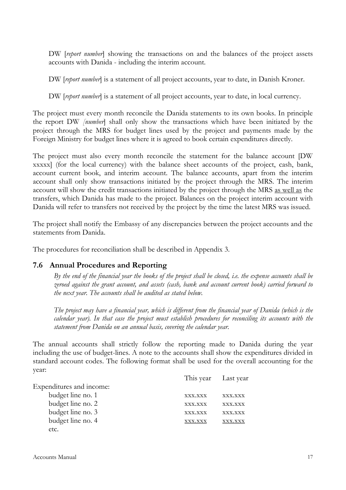DW [*report number*] showing the transactions on and the balances of the project assets accounts with Danida - including the interim account.

DW [*report number*] is a statement of all project accounts, year to date, in Danish Kroner.

DW [*report number*] is a statement of all project accounts, year to date, in local currency.

The project must every month reconcile the Danida statements to its own books. In principle the report DW *[number*] shall only show the transactions which have been initiated by the project through the MRS for budget lines used by the project and payments made by the Foreign Ministry for budget lines where it is agreed to book certain expenditures directly.

The project must also every month reconcile the statement for the balance account [DW xxxxx] (for the local currency) with the balance sheet accounts of the project, cash, bank, account current book, and interim account. The balance accounts, apart from the interim account shall only show transactions initiated by the project through the MRS. The interim account will show the credit transactions initiated by the project through the MRS as well as the transfers, which Danida has made to the project. Balances on the project interim account with Danida will refer to transfers not received by the project by the time the latest MRS was issued.

The project shall notify the Embassy of any discrepancies between the project accounts and the statements from Danida.

The procedures for reconciliation shall be described in Appendix 3.

#### <span id="page-34-0"></span>**7.6 Annual Procedures and Reporting**

*By the end of the financial year the books of the project shall be closed, i.e. the expense accounts shall be zeroed against the grant account, and assets (cash, bank and account current book) carried forward to the next year. The accounts shall be audited as stated below.*

*The project may have a financial year, which is different from the financial year of Danida (which is the calendar year). In that case the project must establish procedures for reconciling its accounts with the statement from Danida on an annual basis, covering the calendar year.*

The annual accounts shall strictly follow the reporting made to Danida during the year including the use of budget-lines. A note to the accounts shall show the expenditures divided in standard account codes. The following format shall be used for the overall accounting for the year:

|                          | This year Last year |         |
|--------------------------|---------------------|---------|
| Expenditures and income: |                     |         |
| budget line no. 1        | XXX.XXX             | XXX.XXX |
| budget line no. 2        | XXX.XXX             | XXX.XXX |
| budget line no. 3        | <b>XXX.XXX</b>      | XXX.XXX |
| budget line no. 4        | ${\rm XXX. XXX}$    | XX.XXX  |
| etc.                     |                     |         |
|                          |                     |         |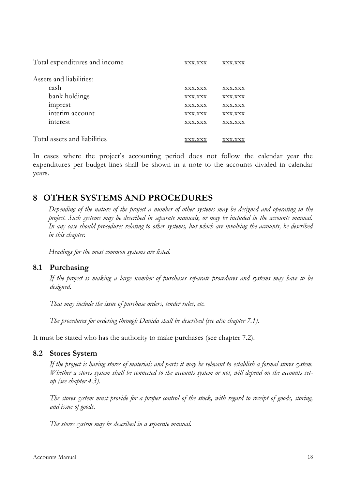| Total expenditures and income |         |                |
|-------------------------------|---------|----------------|
| Assets and liabilities:       |         |                |
| cash                          | XXX.XXX | <b>XXX.XXX</b> |
| bank holdings                 | XXX.XXX | XXX.XXX        |
| imprest                       | XXX.XXX | <b>XXX.XXX</b> |
| interim account               | XXX.XXX | <b>XXX.XXX</b> |
| interest                      | XXX.XXX | XXX.XXX        |
| Total assets and liabilities  |         |                |

In cases where the project's accounting period does not follow the calendar year the expenditures per budget lines shall be shown in a note to the accounts divided in calendar years.

# <span id="page-35-0"></span>**8 OTHER SYSTEMS AND PROCEDURES**

*Depending of the nature of the project a number of other systems may be designed and operating in the project. Such systems may be described in separate manuals, or may be included in the accounts manual. In any case should procedures relating to other systems, but which are involving the accounts, be described in this chapter.*

*Headings for the most common systems are listed.*

#### <span id="page-35-1"></span>**8.1 Purchasing**

*If the project is making a large number of purchases separate procedures and systems may have to be designed.*

*That may include the issue of purchase orders, tender rules, etc.*

*The procedures for ordering through Danida shall be described (see also chapter 7.1).*

It must be stated who has the authority to make purchases (see chapter 7.2).

#### <span id="page-35-2"></span>**8.2 Stores System**

*If the project is having stores of materials and parts it may be relevant to establish a formal stores system. Whether a stores system shall be connected to the accounts system or not, will depend on the accounts setup (see chapter 4.3).*

*The stores system must provide for a proper control of the stock, with regard to receipt of goods, storing, and issue of goods.*

*The stores system may be described in a separate manual.*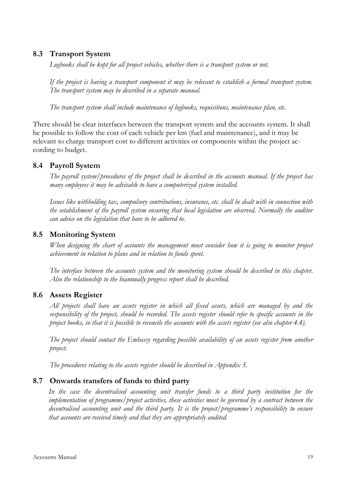### <span id="page-36-0"></span>**8.3 Transport System**

*Logbooks shall be kept for all project vehicles, whether there is a transport system or not.*

*If the project is having a transport component it may be relevant to establish a formal transport system. The transport system may be described in a separate manual.*

*The transport system shall include maintenance of logbooks, requisitions, maintenance plan, etc.*

There should be clear interfaces between the transport system and the accounts system. It shall be possible to follow the cost of each vehicle per km (fuel and maintenance), and it may be relevant to charge transport cost to different activities or components within the project according to budget.

#### <span id="page-36-1"></span>**8.4 Payroll System**

*The payroll system/procedures of the project shall be described in the accounts manual. If the project has many employees it may be advisable to have a computerized system installed.* 

*Issues like withholding tax, compulsory contributions, insurance, etc. shall be dealt with in connection with the establishment of the payroll system ensuring that local legislation are observed. Normally the auditor can advice on the legislation that have to be adhered to.*

#### <span id="page-36-2"></span>**8.5 Monitoring System**

*When designing the chart of accounts the management must consider how it is going to monitor project achievement in relation to plans and in relation to funds spent.*

*The interface between the accounts system and the monitoring system should be described in this chapter. Also the relationship to the biannually progress report shall be described.*

#### <span id="page-36-3"></span>**8.6 Assets Register**

*All projects shall have an assets register in which all fixed assets, which are managed by and the responsibility of the project, should be recorded. The assets register should refer to specific accounts in the project books, so that it is possible to reconcile the accounts with the assets register (see also chapter 4.4).*

*The project should contact the Embassy regarding possible availability of an assets register from another project.*

*The procedures relating to the assets register should be described in Appendix 5.*

#### <span id="page-36-4"></span>**8.7 Onwards transfers of funds to third party**

*In the case the decentralised accounting unit transfer funds to a third party institution for the implementation of programme/project activities, these activities must be governed by a contract between the decentralised accounting unit and the third party. It is the project/programme's responsibility to ensure that accounts are received timely and that they are appropriately audited.*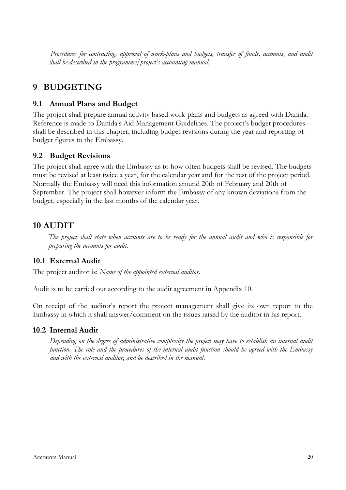*Procedures for contracting, approval of work-plans and budgets, transfer of funds, accounts, and audit shall be described in the programme/project's accounting manual.* 

# <span id="page-37-0"></span>**9 BUDGETING**

### <span id="page-37-1"></span>**9.1 Annual Plans and Budget**

The project shall prepare annual activity based work-plans and budgets as agreed with Danida. Reference is made to Danida's Aid Management Guidelines. The project's budget procedures shall be described in this chapter, including budget revisions during the year and reporting of budget figures to the Embassy.

#### <span id="page-37-2"></span>**9.2 Budget Revisions**

The project shall agree with the Embassy as to how often budgets shall be revised. The budgets must be revised at least twice a year, for the calendar year and for the rest of the project period. Normally the Embassy will need this information around 20th of February and 20th of September. The project shall however inform the Embassy of any known deviations from the budget, especially in the last months of the calendar year.

# <span id="page-37-3"></span>**10 AUDIT**

*The project shall state when accounts are to be ready for the annual audit and who is responsible for preparing the accounts for audit.* 

# <span id="page-37-4"></span>**10.1 External Audit**

The project auditor is: *Name of the appointed external auditor*.

Audit is to be carried out according to the audit agreement in Appendix 10.

On receipt of the auditor's report the project management shall give its own report to the Embassy in which it shall answer/comment on the issues raised by the auditor in his report.

#### <span id="page-37-5"></span>**10.2 Internal Audit**

*Depending on the degree of administrative complexity the project may have to establish an internal audit function. The role and the procedures of the internal audit function should be agreed with the Embassy and with the external auditor, and be described in the manual*.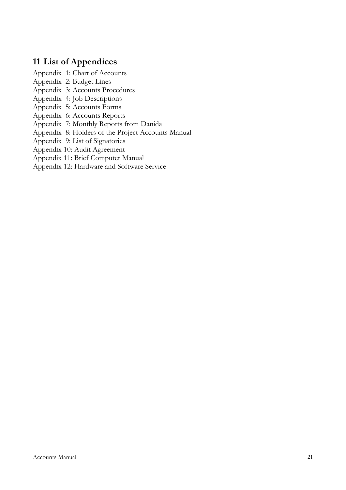# <span id="page-38-0"></span>**11 List of Appendices**

Appendix 1: Chart of Accounts

- Appendix 2: Budget Lines
- Appendix 3: Accounts Procedures
- Appendix 4: Job Descriptions
- Appendix 5: Accounts Forms
- Appendix 6: Accounts Reports
- Appendix 7: Monthly Reports from Danida
- Appendix 8: Holders of the Project Accounts Manual
- Appendix 9: List of Signatories
- Appendix 10: Audit Agreement
- Appendix 11: Brief Computer Manual
- Appendix 12: Hardware and Software Service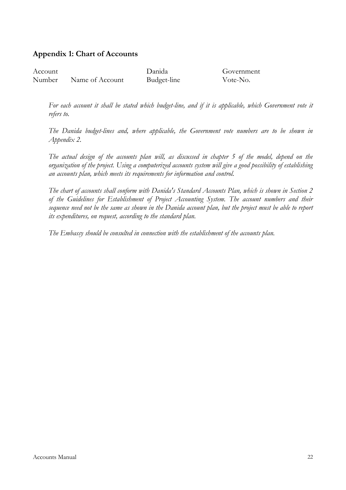### **Appendix 1: Chart of Accounts**

| Account |                 | Danida      | Government |
|---------|-----------------|-------------|------------|
| Number  | Name of Account | Budget-line | Vote-No.   |

For each account it shall be stated which budget-line, and if it is applicable, which Government vote it *refers to.*

*The Danida budget-lines and, where applicable, the Government vote numbers are to be shown in Appendix 2.*

*The actual design of the accounts plan will, as discussed in chapter 5 of the model, depend on the organization of the project. Using a computerized accounts system will give a good possibility of establishing an accounts plan, which meets its requirements for information and control.* 

*The chart of accounts shall conform with Danida's Standard Accounts Plan, which is shown in Section 2 of the Guidelines for Establishment of Project Accounting System. The account numbers and their sequence need not be the same as shown in the Danida account plan, but the project must be able to report its expenditures, on request, according to the standard plan.* 

*The Embassy should be consulted in connection with the establishment of the accounts plan.*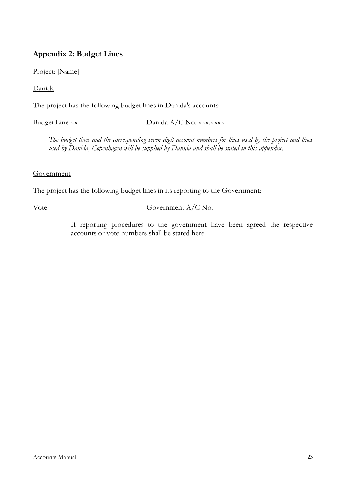# **Appendix 2: Budget Lines**

Project: [Name]

Danida

The project has the following budget lines in Danida's accounts:

Budget Line xx Danida A/C No. xxx.xxxx

*The budget lines and the corresponding seven digit account numbers for lines used by the project and lines used by Danida, Copenhagen will be supplied by Danida and shall be stated in this appendix.* 

#### **Government**

The project has the following budget lines in its reporting to the Government:

#### Vote Government A/C No.

If reporting procedures to the government have been agreed the respective accounts or vote numbers shall be stated here.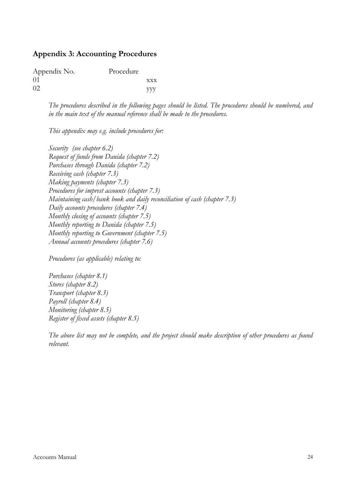#### **Appendix 3: Accounting Procedures**

| Appendix No. | Procedure |            |
|--------------|-----------|------------|
| $\Omega$ 1   |           | <b>XXX</b> |
| 02           |           | <b>YVV</b> |

*The procedures described in the following pages should be listed. The procedures should be numbered, and in the main text of the manual reference shall be made to the procedures.* 

*This appendix may e.g. include procedures for:*

*Security (see chapter 6.2) Request of funds from Danida (chapter 7.2) Purchases through Danida (chapter 7.2) Receiving cash (chapter 7.3) Making payments (chapter 7.3) Procedures for imprest accounts (chapter 7.3) Maintaining cash/bank book and daily reconciliation of cash (chapter 7.3) Daily accounts procedures (chapter 7.4) Monthly closing of accounts (chapter 7.5) Monthly reporting to Danida (chapter 7.5) Monthly reporting to Government (chapter 7.5) Annual accounts procedures (chapter 7.6)*

*Procedures (as applicable) relating to:*

*Purchases (chapter 8.1) Stores (chapter 8.2) Transport (chapter 8.3) Payroll (chapter 8.4) Monitoring (chapter 8.5) Register of fixed assets (chapter 8.5)*

*The above list may not be complete, and the project should make description of other procedures as found relevant.*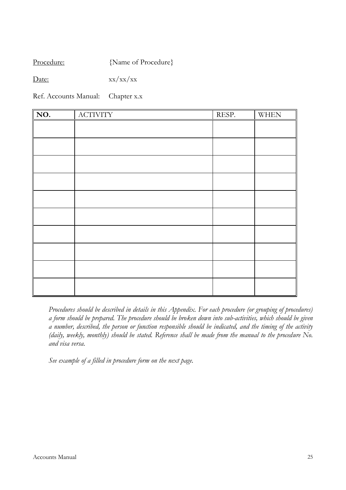Procedure: {Name of Procedure}

Date:  $xx/xx/xx$ 

Ref. Accounts Manual: Chapter x.x

| $\overline{NO}$ . | <b>ACTIVITY</b> | RESP. | <b>WHEN</b> |
|-------------------|-----------------|-------|-------------|
|                   |                 |       |             |
|                   |                 |       |             |
|                   |                 |       |             |
|                   |                 |       |             |
|                   |                 |       |             |
|                   |                 |       |             |
|                   |                 |       |             |
|                   |                 |       |             |
|                   |                 |       |             |
|                   |                 |       |             |
|                   |                 |       |             |

*Procedures should be described in details in this Appendix. For each procedure (or grouping of procedures) a form should be prepared. The procedure should be broken down into sub-activities, which should be given a number, described, the person or function responsible should be indicated, and the timing of the activity (daily, weekly, monthly) should be stated. Reference shall be made from the manual to the procedure No. and visa versa.*

*See example of a filled in procedure form on the next page.*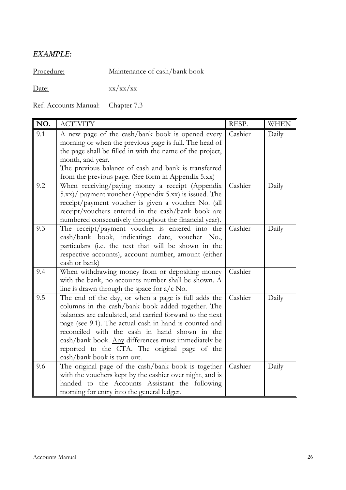# *EXAMPLE:*

Procedure: Maintenance of cash/bank book

Date: xx/xx/xx

Ref. Accounts Manual: Chapter 7.3

| NO. | <b>ACTIVITY</b>                                                                                                                                                                                                                                                                                                                                                                                                        | RESP.   | <b>WHEN</b> |
|-----|------------------------------------------------------------------------------------------------------------------------------------------------------------------------------------------------------------------------------------------------------------------------------------------------------------------------------------------------------------------------------------------------------------------------|---------|-------------|
| 9.1 | A new page of the cash/bank book is opened every<br>morning or when the previous page is full. The head of<br>the page shall be filled in with the name of the project,<br>month, and year.<br>The previous balance of cash and bank is transferred<br>from the previous page. (See form in Appendix 5.xx)                                                                                                             | Cashier | Daily       |
| 9.2 | When receiving/paying money a receipt (Appendix<br>5.xx)/ payment voucher (Appendix 5.xx) is issued. The<br>receipt/payment voucher is given a voucher No. (all<br>receipt/vouchers entered in the cash/bank book are<br>numbered consecutively throughout the financial year).                                                                                                                                        | Cashier | Daily       |
| 9.3 | The receipt/payment voucher is entered into the<br>cash/bank book, indicating: date, voucher No.,<br>particulars (i.e. the text that will be shown in the<br>respective accounts), account number, amount (either<br>cash or bank)                                                                                                                                                                                     | Cashier | Daily       |
| 9.4 | When withdrawing money from or depositing money<br>with the bank, no accounts number shall be shown. A<br>line is drawn through the space for $a/c$ No.                                                                                                                                                                                                                                                                | Cashier |             |
| 9.5 | The end of the day, or when a page is full adds the<br>columns in the cash/bank book added together. The<br>balances are calculated, and carried forward to the next<br>page (see 9.1). The actual cash in hand is counted and<br>reconciled with the cash in hand shown in the<br>cash/bank book. Any differences must immediately be<br>reported to the CTA. The original page of the<br>cash/bank book is torn out. | Cashier | Daily       |
| 9.6 | The original page of the cash/bank book is together<br>with the vouchers kept by the cashier over night, and is<br>handed to the Accounts Assistant the following<br>morning for entry into the general ledger.                                                                                                                                                                                                        | Cashier | Daily       |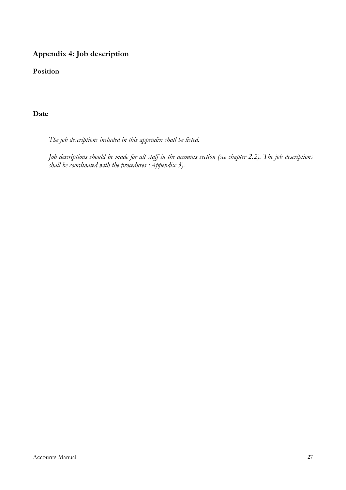# **Appendix 4: Job description**

**Position**

### **Date**

*The job descriptions included in this appendix shall be listed.*

*Job descriptions should be made for all staff in the accounts section (see chapter 2.2). The job descriptions shall be coordinated with the procedures (Appendix 3).*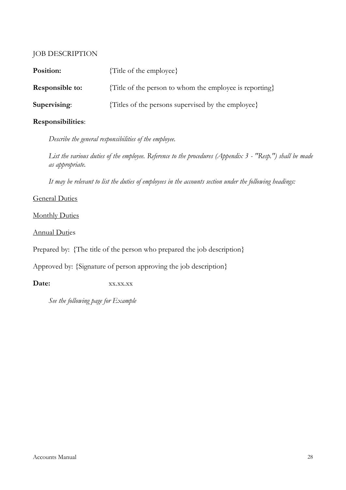### JOB DESCRIPTION

| Position:              | {Title of the employee}                                 |
|------------------------|---------------------------------------------------------|
| <b>Responsible to:</b> | {Title of the person to whom the employee is reporting} |
| Supervising:           | {Titles of the persons supervised by the employee}      |

### **Responsibilities**:

*Describe the general responsibilities of the employee.*

*List the various duties of the employee. Reference to the procedures (Appendix 3 - "Resp.") shall be made as appropriate.*

*It may be relevant to list the duties of employees in the accounts section under the following headings:*

#### General Duties

**Monthly Duties** 

#### Annual Duties

Prepared by: {The title of the person who prepared the job description}

Approved by: {Signature of person approving the job description}

Date:  $XX.XX.XX$ 

*See the following page for Example*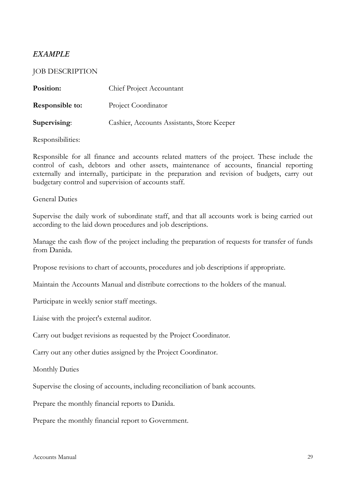# *EXAMPLE*

#### JOB DESCRIPTION

| Position:              | Chief Project Accountant                   |
|------------------------|--------------------------------------------|
| <b>Responsible to:</b> | Project Coordinator                        |
| Supervising:           | Cashier, Accounts Assistants, Store Keeper |

#### Responsibilities:

Responsible for all finance and accounts related matters of the project. These include the control of cash, debtors and other assets, maintenance of accounts, financial reporting externally and internally, participate in the preparation and revision of budgets, carry out budgetary control and supervision of accounts staff.

#### General Duties

Supervise the daily work of subordinate staff, and that all accounts work is being carried out according to the laid down procedures and job descriptions.

Manage the cash flow of the project including the preparation of requests for transfer of funds from Danida.

Propose revisions to chart of accounts, procedures and job descriptions if appropriate.

Maintain the Accounts Manual and distribute corrections to the holders of the manual.

Participate in weekly senior staff meetings.

Liaise with the project's external auditor.

Carry out budget revisions as requested by the Project Coordinator.

Carry out any other duties assigned by the Project Coordinator.

Monthly Duties

Supervise the closing of accounts, including reconciliation of bank accounts.

Prepare the monthly financial reports to Danida.

Prepare the monthly financial report to Government.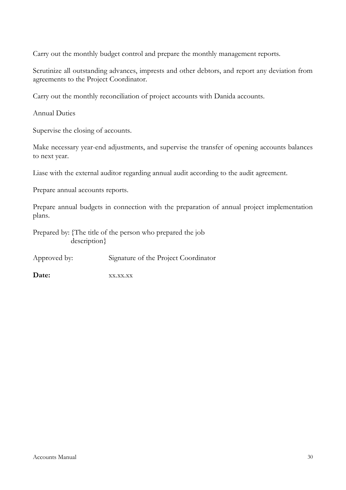Carry out the monthly budget control and prepare the monthly management reports.

Scrutinize all outstanding advances, imprests and other debtors, and report any deviation from agreements to the Project Coordinator.

Carry out the monthly reconciliation of project accounts with Danida accounts.

Annual Duties

Supervise the closing of accounts.

Make necessary year-end adjustments, and supervise the transfer of opening accounts balances to next year.

Liase with the external auditor regarding annual audit according to the audit agreement.

Prepare annual accounts reports.

Prepare annual budgets in connection with the preparation of annual project implementation plans.

Prepared by: {The title of the person who prepared the job description}

Approved by: Signature of the Project Coordinator

Date:  $XX.XX.XX$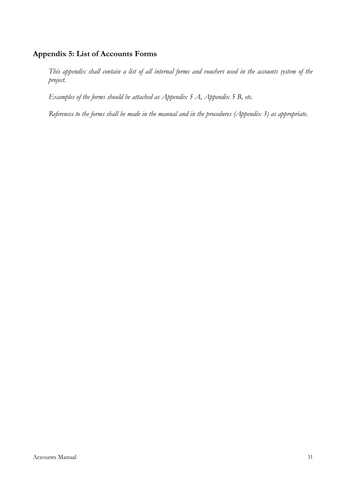### **Appendix 5: List of Accounts Forms**

*This appendix shall contain a list of all internal forms and vouchers used in the accounts system of the project.* 

*Examples of the forms should be attached as Appendix 5 A, Appendix 5 B, etc.* 

*References to the forms shall be made in the manual and in the procedures (Appendix 3) as appropriate.*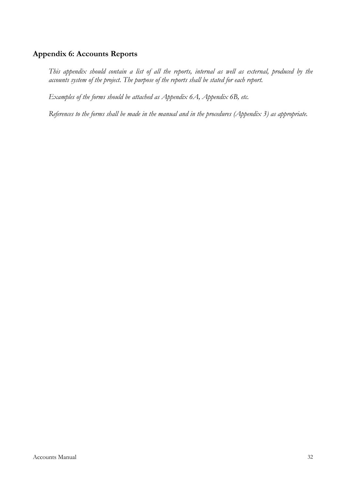#### **Appendix 6: Accounts Reports**

*This appendix should contain a list of all the reports, internal as well as external, produced by the accounts system of the project. The purpose of the reports shall be stated for each report.*

*Examples of the forms should be attached as Appendix 6A, Appendix 6B, etc.*

*References to the forms shall be made in the manual and in the procedures (Appendix 3) as appropriate.*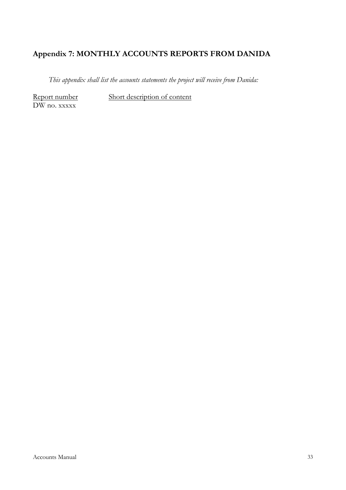# **Appendix 7: MONTHLY ACCOUNTS REPORTS FROM DANIDA**

*This appendix shall list the accounts statements the project will receive from Danida:*

DW no. xxxxx

Report number Short description of content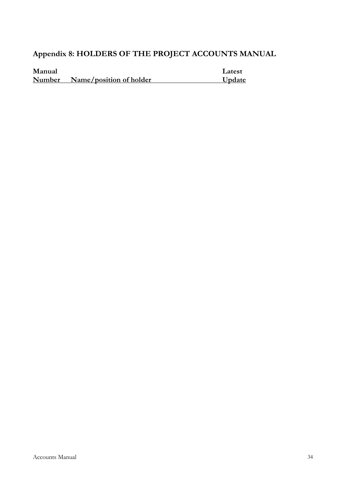# **Appendix 8: HOLDERS OF THE PROJECT ACCOUNTS MANUAL**

| Manual |                         | Latest |
|--------|-------------------------|--------|
| Number | Name/position of holder | Update |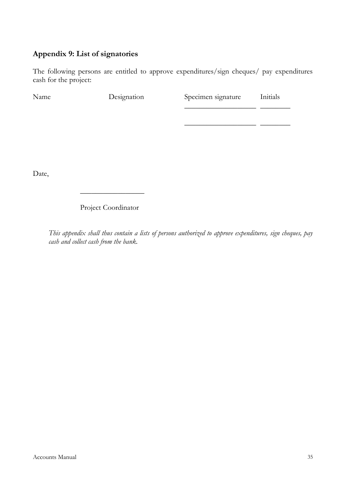# **Appendix 9: List of signatories**

The following persons are entitled to approve expenditures/sign cheques/ pay expenditures cash for the project:

| Name | Designation | Specimen signature | Initials |
|------|-------------|--------------------|----------|
|      |             |                    |          |
|      |             |                    |          |
|      |             |                    |          |
|      |             |                    |          |

Date,

# Project Coordinator

 $\overline{\phantom{a}}$  ,  $\overline{\phantom{a}}$  ,  $\overline{\phantom{a}}$  ,  $\overline{\phantom{a}}$  ,  $\overline{\phantom{a}}$  ,  $\overline{\phantom{a}}$  ,  $\overline{\phantom{a}}$  ,  $\overline{\phantom{a}}$  ,  $\overline{\phantom{a}}$  ,  $\overline{\phantom{a}}$  ,  $\overline{\phantom{a}}$  ,  $\overline{\phantom{a}}$  ,  $\overline{\phantom{a}}$  ,  $\overline{\phantom{a}}$  ,  $\overline{\phantom{a}}$  ,  $\overline{\phantom{a}}$ 

*This appendix shall thus contain a lists of persons authorized to approve expenditures, sign cheques, pay cash and collect cash from the bank.*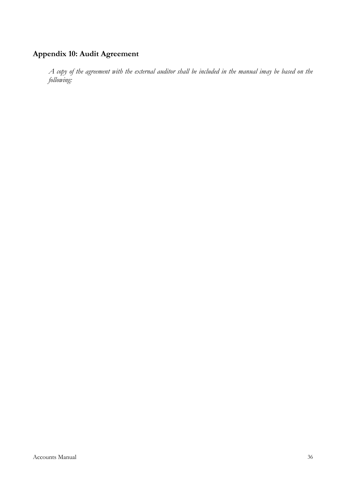# **Appendix 10: Audit Agreement**

*A copy of the agreement with the external auditor shall be included in the manual imay be based on the following:*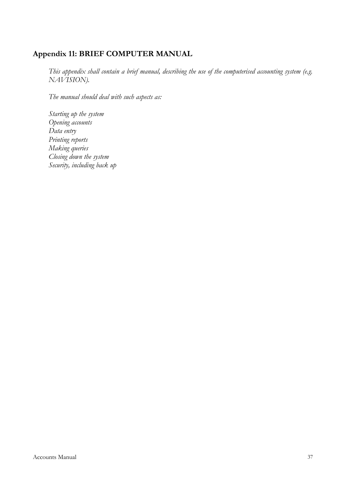### **Appendix 11: BRIEF COMPUTER MANUAL**

*This appendix shall contain a brief manual, describing the use of the computerised accounting system (e.g. NAVISION).*

*The manual should deal with such aspects as:*

*Starting up the system Opening accounts Data entry Printing reports Making queries Closing down the system Security, including back up*